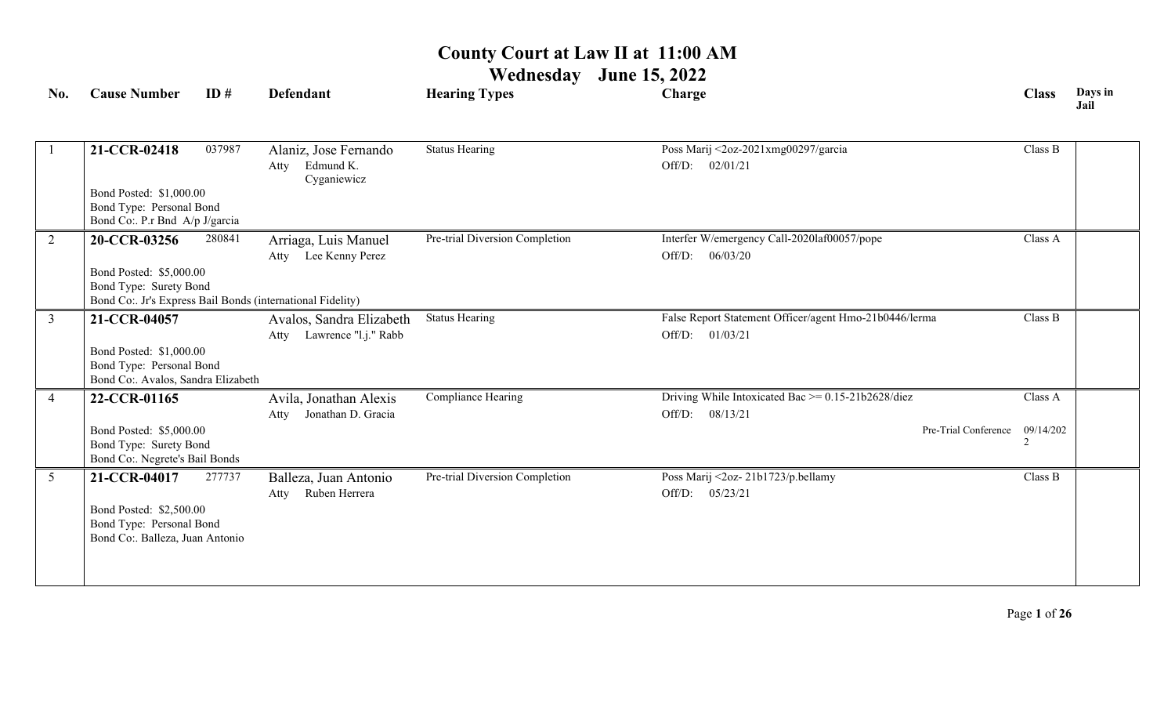**Wednesday June 15, 2022**

| No.            | <b>Cause Number</b>                                                                       | ID#    | <b>Defendant</b>                                          | <b>Hearing Types</b>           | Charge                                                                     | <b>Class</b> | Days in<br>Jail |
|----------------|-------------------------------------------------------------------------------------------|--------|-----------------------------------------------------------|--------------------------------|----------------------------------------------------------------------------|--------------|-----------------|
|                | 21-CCR-02418                                                                              | 037987 | Alaniz, Jose Fernando<br>Edmund K.<br>Atty<br>Cyganiewicz | <b>Status Hearing</b>          | Poss Marij <2oz-2021xmg00297/garcia<br>Off/D: 02/01/21                     | Class B      |                 |
|                | Bond Posted: \$1,000.00<br>Bond Type: Personal Bond<br>Bond Co: P.r Bnd A/p J/garcia      |        |                                                           |                                |                                                                            |              |                 |
| $\overline{2}$ | 20-CCR-03256                                                                              | 280841 | Arriaga, Luis Manuel<br>Atty Lee Kenny Perez              | Pre-trial Diversion Completion | Interfer W/emergency Call-2020laf00057/pope<br>Off/D: $06/03/20$           | Class A      |                 |
|                | Bond Posted: \$5,000.00<br>Bond Type: Surety Bond                                         |        | Bond Co: Jr's Express Bail Bonds (international Fidelity) |                                |                                                                            |              |                 |
| $\overline{3}$ | 21-CCR-04057                                                                              |        | Avalos, Sandra Elizabeth<br>Atty Lawrence "l.j." Rabb     | <b>Status Hearing</b>          | False Report Statement Officer/agent Hmo-21b0446/lerma<br>Off/D: 01/03/21  | Class B      |                 |
|                | Bond Posted: \$1,000.00<br>Bond Type: Personal Bond<br>Bond Co:. Avalos, Sandra Elizabeth |        |                                                           |                                |                                                                            |              |                 |
| $\overline{4}$ | 22-CCR-01165                                                                              |        | Avila, Jonathan Alexis<br>Jonathan D. Gracia<br>Atty      | Compliance Hearing             | Driving While Intoxicated Bac $\ge$ = 0.15-21b2628/diez<br>Off/D: 08/13/21 | Class A      |                 |
|                | Bond Posted: \$5,000.00<br>Bond Type: Surety Bond<br>Bond Co:. Negrete's Bail Bonds       |        |                                                           |                                | Pre-Trial Conference                                                       | 09/14/202    |                 |
| $\overline{5}$ | 21-CCR-04017                                                                              | 277737 | Balleza, Juan Antonio<br>Ruben Herrera<br>Atty            | Pre-trial Diversion Completion | Poss Marij <2oz-21b1723/p.bellamy<br>Off/D: 05/23/21                       | Class B      |                 |
|                | Bond Posted: \$2,500.00<br>Bond Type: Personal Bond<br>Bond Co:. Balleza, Juan Antonio    |        |                                                           |                                |                                                                            |              |                 |
|                |                                                                                           |        |                                                           |                                |                                                                            |              |                 |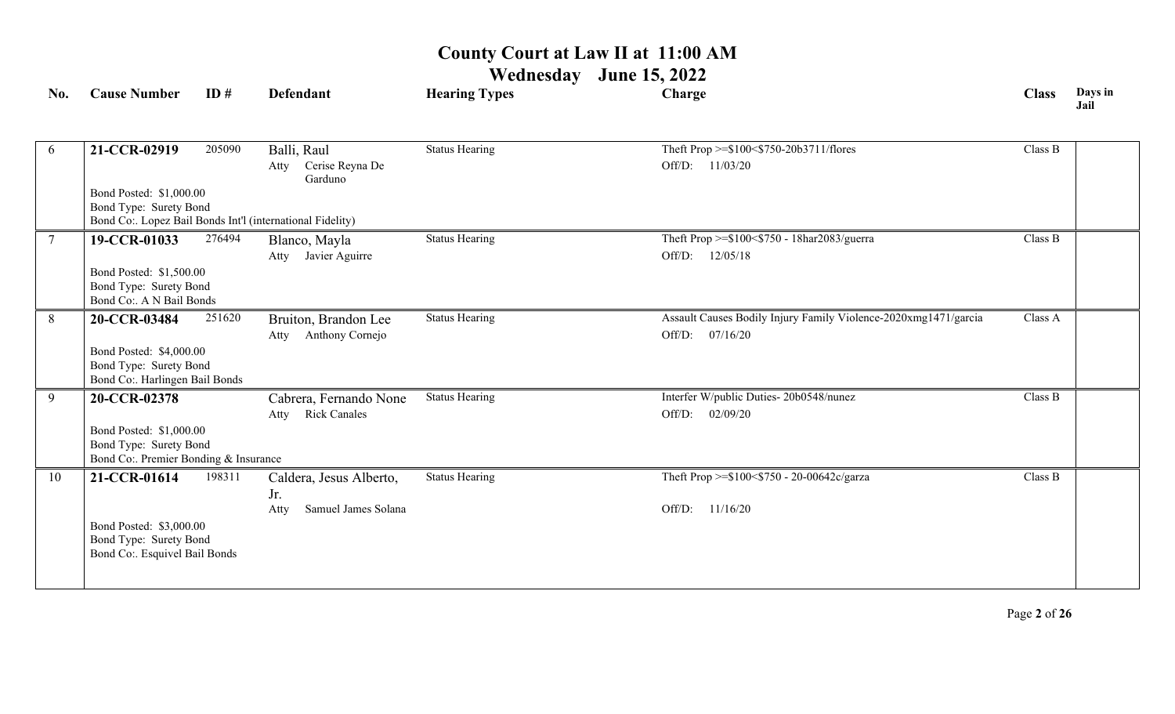**Wednesday June 15, 2022**

| No.            | <b>Cause Number</b>                                       | ID#    | <b>Defendant</b>                   | <b>Hearing Types</b>  | Charge                                                          | <b>Class</b> | Days in<br>Jail |
|----------------|-----------------------------------------------------------|--------|------------------------------------|-----------------------|-----------------------------------------------------------------|--------------|-----------------|
|                |                                                           |        |                                    |                       |                                                                 |              |                 |
| 6              | 21-CCR-02919                                              | 205090 | Balli, Raul                        | <b>Status Hearing</b> | Theft Prop >=\$100<\$750-20b3711/flores                         | Class B      |                 |
|                |                                                           |        | Cerise Reyna De<br>Atty<br>Garduno |                       | Off/D: 11/03/20                                                 |              |                 |
|                | Bond Posted: \$1,000.00                                   |        |                                    |                       |                                                                 |              |                 |
|                | Bond Type: Surety Bond                                    |        |                                    |                       |                                                                 |              |                 |
|                | Bond Co:. Lopez Bail Bonds Int'l (international Fidelity) |        |                                    |                       |                                                                 |              |                 |
| $\overline{7}$ | 19-CCR-01033                                              | 276494 | Blanco, Mayla                      | <b>Status Hearing</b> | Theft Prop >=\$100<\$750 - 18har2083/guerra                     | Class B      |                 |
|                |                                                           |        | Atty Javier Aguirre                |                       | Off/D: 12/05/18                                                 |              |                 |
|                | Bond Posted: \$1,500.00                                   |        |                                    |                       |                                                                 |              |                 |
|                | Bond Type: Surety Bond                                    |        |                                    |                       |                                                                 |              |                 |
|                | Bond Co:. A N Bail Bonds                                  |        |                                    |                       |                                                                 |              |                 |
| 8              | 20-CCR-03484                                              | 251620 | Bruiton, Brandon Lee               | <b>Status Hearing</b> | Assault Causes Bodily Injury Family Violence-2020xmg1471/garcia | Class A      |                 |
|                |                                                           |        | Atty Anthony Cornejo               |                       | Off/D:<br>07/16/20                                              |              |                 |
|                | Bond Posted: \$4,000.00                                   |        |                                    |                       |                                                                 |              |                 |
|                | Bond Type: Surety Bond                                    |        |                                    |                       |                                                                 |              |                 |
|                | Bond Co:. Harlingen Bail Bonds                            |        |                                    |                       |                                                                 |              |                 |
| 9              | 20-CCR-02378                                              |        | Cabrera, Fernando None             | <b>Status Hearing</b> | Interfer W/public Duties- 20b0548/nunez                         | Class B      |                 |
|                |                                                           |        | <b>Rick Canales</b><br>Atty        |                       | 02/09/20<br>Off/D:                                              |              |                 |
|                | Bond Posted: \$1,000.00                                   |        |                                    |                       |                                                                 |              |                 |
|                | Bond Type: Surety Bond                                    |        |                                    |                       |                                                                 |              |                 |
|                | Bond Co:. Premier Bonding & Insurance                     |        |                                    |                       |                                                                 |              |                 |
| 10             | 21-CCR-01614                                              | 198311 | Caldera, Jesus Alberto,            | <b>Status Hearing</b> | Theft Prop >=\$100<\$750 - 20-00642c/garza                      | Class B      |                 |
|                |                                                           |        | Jr.                                |                       |                                                                 |              |                 |
|                |                                                           |        | Samuel James Solana<br>Atty        |                       | 11/16/20<br>Off/D:                                              |              |                 |
|                | Bond Posted: \$3,000.00                                   |        |                                    |                       |                                                                 |              |                 |
|                | Bond Type: Surety Bond                                    |        |                                    |                       |                                                                 |              |                 |
|                | Bond Co:. Esquivel Bail Bonds                             |        |                                    |                       |                                                                 |              |                 |
|                |                                                           |        |                                    |                       |                                                                 |              |                 |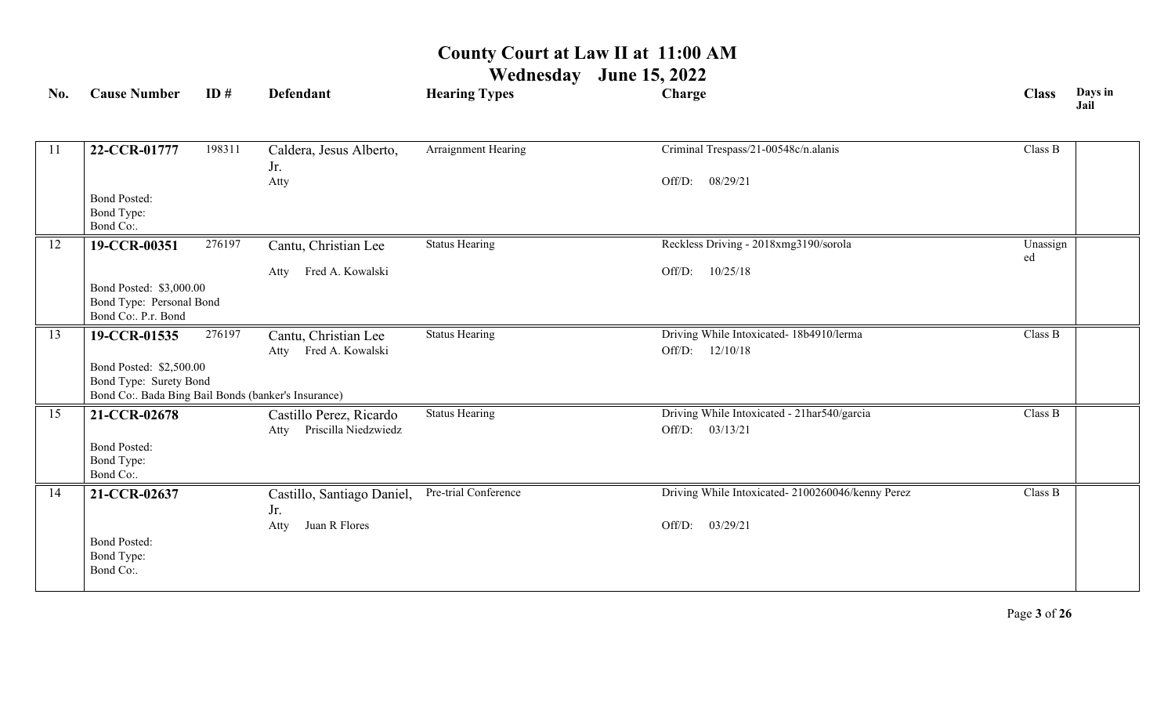| <b>Cause Number</b> | ID#                                                                                                             | <b>Defendant</b>                                                                                                   | <b>Hearing Types</b>                                                                                                                                                   | Charge                                                                 | <b>Class</b>                                                                                                                                                   | Days in<br>Jail                |
|---------------------|-----------------------------------------------------------------------------------------------------------------|--------------------------------------------------------------------------------------------------------------------|------------------------------------------------------------------------------------------------------------------------------------------------------------------------|------------------------------------------------------------------------|----------------------------------------------------------------------------------------------------------------------------------------------------------------|--------------------------------|
|                     |                                                                                                                 |                                                                                                                    |                                                                                                                                                                        |                                                                        |                                                                                                                                                                |                                |
| 22-CCR-01777        | 198311                                                                                                          | Caldera, Jesus Alberto,                                                                                            | Arraignment Hearing                                                                                                                                                    | Criminal Trespass/21-00548c/n.alanis                                   | Class B                                                                                                                                                        |                                |
|                     |                                                                                                                 | Atty                                                                                                               |                                                                                                                                                                        | 08/29/21<br>Off/D:                                                     |                                                                                                                                                                |                                |
| <b>Bond Posted:</b> |                                                                                                                 |                                                                                                                    |                                                                                                                                                                        |                                                                        |                                                                                                                                                                |                                |
|                     |                                                                                                                 |                                                                                                                    |                                                                                                                                                                        |                                                                        |                                                                                                                                                                |                                |
|                     |                                                                                                                 |                                                                                                                    |                                                                                                                                                                        |                                                                        |                                                                                                                                                                |                                |
|                     |                                                                                                                 |                                                                                                                    |                                                                                                                                                                        |                                                                        | ed                                                                                                                                                             |                                |
|                     |                                                                                                                 | Atty                                                                                                               |                                                                                                                                                                        |                                                                        |                                                                                                                                                                |                                |
|                     |                                                                                                                 |                                                                                                                    |                                                                                                                                                                        |                                                                        |                                                                                                                                                                |                                |
| Bond Co:. P.r. Bond |                                                                                                                 |                                                                                                                    |                                                                                                                                                                        |                                                                        |                                                                                                                                                                |                                |
| 19-CCR-01535        | 276197                                                                                                          | Cantu, Christian Lee                                                                                               | <b>Status Hearing</b>                                                                                                                                                  | Driving While Intoxicated- 18b4910/lerma                               | Class B                                                                                                                                                        |                                |
|                     |                                                                                                                 | Atty Fred A. Kowalski                                                                                              |                                                                                                                                                                        | Off/D: 12/10/18                                                        |                                                                                                                                                                |                                |
|                     |                                                                                                                 |                                                                                                                    |                                                                                                                                                                        |                                                                        |                                                                                                                                                                |                                |
|                     |                                                                                                                 |                                                                                                                    |                                                                                                                                                                        |                                                                        |                                                                                                                                                                |                                |
|                     |                                                                                                                 |                                                                                                                    |                                                                                                                                                                        |                                                                        |                                                                                                                                                                |                                |
|                     |                                                                                                                 | Priscilla Niedzwiedz<br>Atty                                                                                       |                                                                                                                                                                        | Off/D: 03/13/21                                                        |                                                                                                                                                                |                                |
| <b>Bond Posted:</b> |                                                                                                                 |                                                                                                                    |                                                                                                                                                                        |                                                                        |                                                                                                                                                                |                                |
|                     |                                                                                                                 |                                                                                                                    |                                                                                                                                                                        |                                                                        |                                                                                                                                                                |                                |
|                     |                                                                                                                 |                                                                                                                    |                                                                                                                                                                        |                                                                        |                                                                                                                                                                |                                |
|                     |                                                                                                                 |                                                                                                                    |                                                                                                                                                                        |                                                                        |                                                                                                                                                                |                                |
|                     |                                                                                                                 | Juan R Flores<br>Atty                                                                                              |                                                                                                                                                                        | 03/29/21<br>Off/D:                                                     |                                                                                                                                                                |                                |
| <b>Bond Posted:</b> |                                                                                                                 |                                                                                                                    |                                                                                                                                                                        |                                                                        |                                                                                                                                                                |                                |
| Bond Type:          |                                                                                                                 |                                                                                                                    |                                                                                                                                                                        |                                                                        |                                                                                                                                                                |                                |
|                     |                                                                                                                 |                                                                                                                    |                                                                                                                                                                        |                                                                        |                                                                                                                                                                |                                |
|                     | Bond Type:<br>Bond Co:.<br>19-CCR-00351<br>21-CCR-02678<br>Bond Type:<br>Bond Co:.<br>21-CCR-02637<br>Bond Co:. | 276197<br>Bond Posted: \$3,000.00<br>Bond Type: Personal Bond<br>Bond Posted: \$2,500.00<br>Bond Type: Surety Bond | Jr.<br>Cantu, Christian Lee<br>Fred A. Kowalski<br>Bond Co:. Bada Bing Bail Bonds (banker's Insurance)<br>Castillo Perez, Ricardo<br>Castillo, Santiago Daniel,<br>Jr. | <b>Status Hearing</b><br><b>Status Hearing</b><br>Pre-trial Conference | Reckless Driving - 2018xmg3190/sorola<br>10/25/18<br>Off/D:<br>Driving While Intoxicated - 21har540/garcia<br>Driving While Intoxicated-2100260046/kenny Perez | Unassign<br>Class B<br>Class B |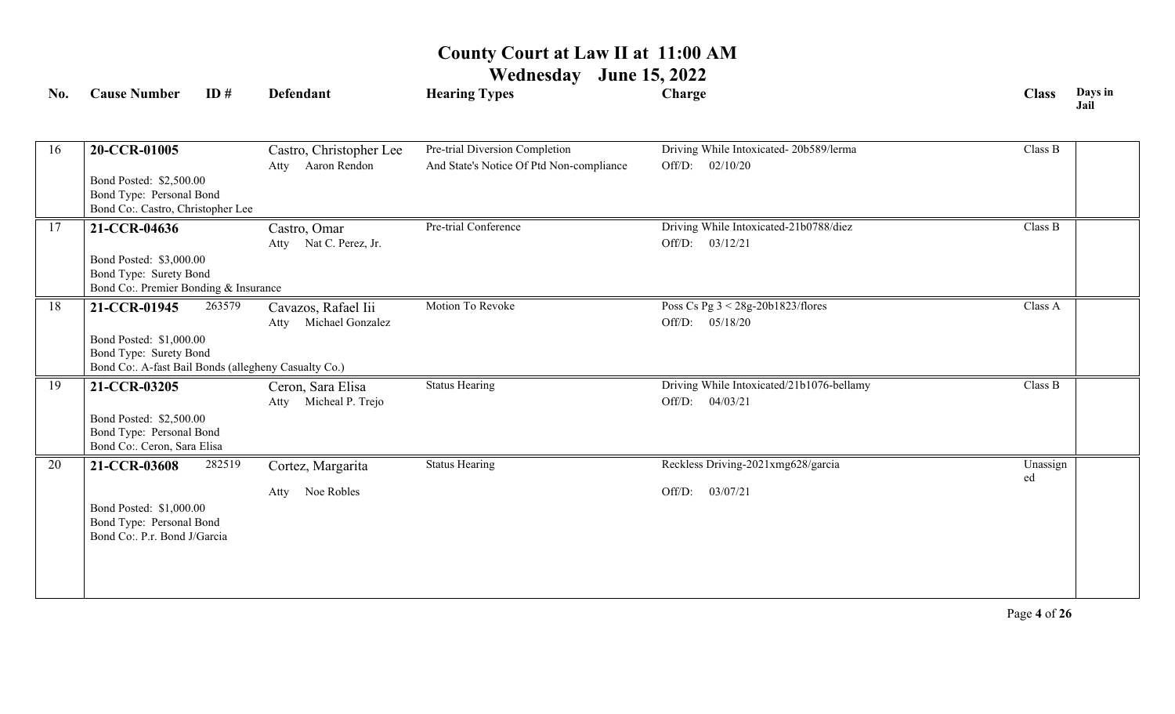| No. | <b>Cause Number</b>                                                                                                       | ID#    | <b>Defendant</b>                                | <b>Hearing Types</b>                                                       | Charge                                                          | <b>Class</b>   | Days in<br>Jail |
|-----|---------------------------------------------------------------------------------------------------------------------------|--------|-------------------------------------------------|----------------------------------------------------------------------------|-----------------------------------------------------------------|----------------|-----------------|
| 16  | 20-CCR-01005<br>Bond Posted: \$2,500.00<br>Bond Type: Personal Bond<br>Bond Co:. Castro, Christopher Lee                  |        | Castro, Christopher Lee<br>Aaron Rendon<br>Atty | Pre-trial Diversion Completion<br>And State's Notice Of Ptd Non-compliance | Driving While Intoxicated-20b589/lerma<br>Off/D:<br>02/10/20    | Class B        |                 |
| 17  | 21-CCR-04636<br>Bond Posted: \$3,000.00<br>Bond Type: Surety Bond<br>Bond Co: Premier Bonding & Insurance                 |        | Castro, Omar<br>Atty Nat C. Perez, Jr.          | Pre-trial Conference                                                       | Driving While Intoxicated-21b0788/diez<br>Off/D: 03/12/21       | Class B        |                 |
| 18  | 21-CCR-01945<br>Bond Posted: \$1,000.00<br>Bond Type: Surety Bond<br>Bond Co:. A-fast Bail Bonds (allegheny Casualty Co.) | 263579 | Cavazos, Rafael Iii<br>Michael Gonzalez<br>Atty | Motion To Revoke                                                           | Poss Cs Pg $3 < 28g-20b1823$ /flores<br>Off/D:<br>05/18/20      | Class A        |                 |
| 19  | 21-CCR-03205<br>Bond Posted: \$2,500.00<br>Bond Type: Personal Bond<br>Bond Co:. Ceron, Sara Elisa                        |        | Ceron, Sara Elisa<br>Atty Micheal P. Trejo      | <b>Status Hearing</b>                                                      | Driving While Intoxicated/21b1076-bellamy<br>04/03/21<br>Off/D: | Class B        |                 |
| 20  | 21-CCR-03608<br>Bond Posted: \$1,000.00<br>Bond Type: Personal Bond<br>Bond Co: P.r. Bond J/Garcia                        | 282519 | Cortez, Margarita<br>Noe Robles<br>Atty         | <b>Status Hearing</b>                                                      | Reckless Driving-2021xmg628/garcia<br>03/07/21<br>Off/D:        | Unassign<br>ed |                 |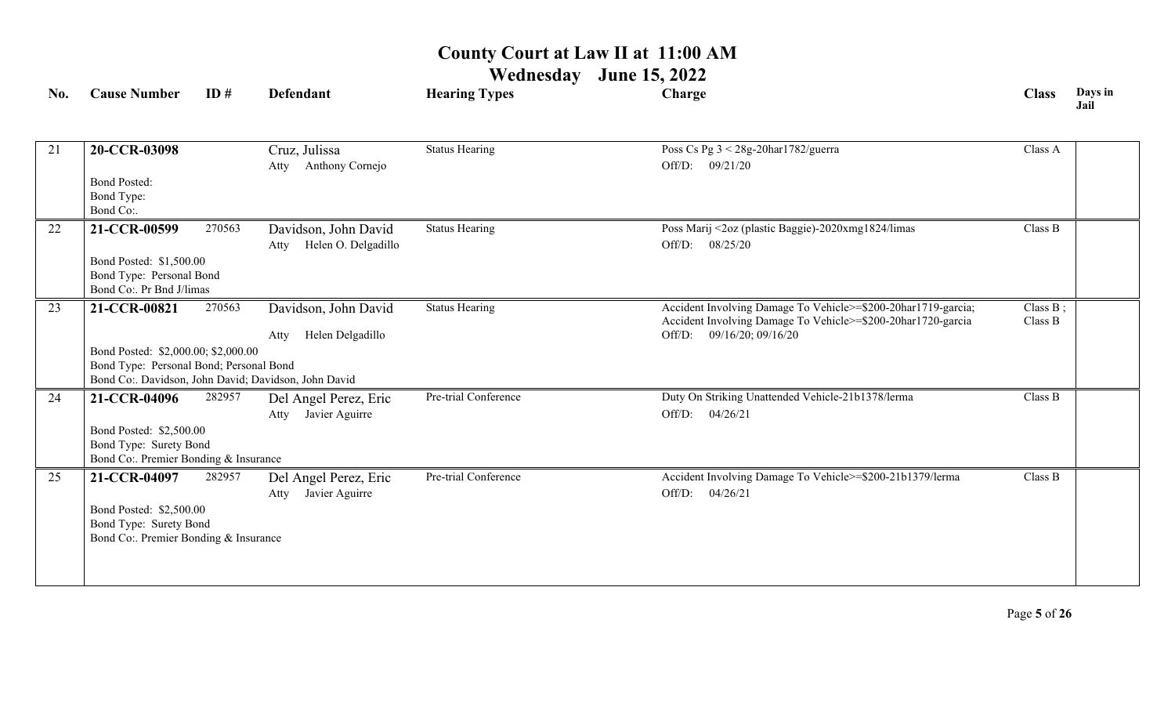| No. | <b>Cause Number</b>                                  | ID#    | <b>Defendant</b>                                     | <b>Hearing Types</b>  | Charge                                                                                                                        | <b>Class</b>           | Days in<br>Jail |
|-----|------------------------------------------------------|--------|------------------------------------------------------|-----------------------|-------------------------------------------------------------------------------------------------------------------------------|------------------------|-----------------|
|     |                                                      |        |                                                      |                       |                                                                                                                               |                        |                 |
| 21  | 20-CCR-03098                                         |        | Cruz, Julissa                                        | <b>Status Hearing</b> | Poss Cs Pg 3 < 28g-20har1782/guerra                                                                                           | Class A                |                 |
|     |                                                      |        | Anthony Cornejo<br>Atty                              |                       | Off/D: 09/21/20                                                                                                               |                        |                 |
|     | <b>Bond Posted:</b>                                  |        |                                                      |                       |                                                                                                                               |                        |                 |
|     | Bond Type:                                           |        |                                                      |                       |                                                                                                                               |                        |                 |
|     | Bond Co:.                                            |        |                                                      |                       |                                                                                                                               |                        |                 |
| 22  | 21-CCR-00599                                         | 270563 | Davidson, John David                                 | <b>Status Hearing</b> | Poss Marij <2oz (plastic Baggie)-2020xmg1824/limas                                                                            | Class B                |                 |
|     |                                                      |        | Helen O. Delgadillo<br>Atty                          |                       | Off/D: 08/25/20                                                                                                               |                        |                 |
|     | Bond Posted: \$1,500.00                              |        |                                                      |                       |                                                                                                                               |                        |                 |
|     | Bond Type: Personal Bond<br>Bond Co:. Pr Bnd J/limas |        |                                                      |                       |                                                                                                                               |                        |                 |
|     |                                                      |        |                                                      |                       |                                                                                                                               |                        |                 |
| 23  | 21-CCR-00821                                         | 270563 | Davidson, John David                                 | <b>Status Hearing</b> | Accident Involving Damage To Vehicle>=\$200-20har1719-garcia;<br>Accident Involving Damage To Vehicle>=\$200-20har1720-garcia | Class $B$ ;<br>Class B |                 |
|     |                                                      |        | Helen Delgadillo<br>Atty                             |                       | 09/16/20; 09/16/20<br>Off/D:                                                                                                  |                        |                 |
|     | Bond Posted: \$2,000.00; \$2,000.00                  |        |                                                      |                       |                                                                                                                               |                        |                 |
|     | Bond Type: Personal Bond; Personal Bond              |        |                                                      |                       |                                                                                                                               |                        |                 |
|     |                                                      |        | Bond Co:. Davidson, John David; Davidson, John David |                       |                                                                                                                               |                        |                 |
| 24  | 21-CCR-04096                                         | 282957 | Del Angel Perez, Eric                                | Pre-trial Conference  | Duty On Striking Unattended Vehicle-21b1378/lerma                                                                             | Class B                |                 |
|     |                                                      |        | Javier Aguirre<br>Atty                               |                       | Off/D: $04/26/21$                                                                                                             |                        |                 |
|     | Bond Posted: \$2,500.00                              |        |                                                      |                       |                                                                                                                               |                        |                 |
|     | Bond Type: Surety Bond                               |        |                                                      |                       |                                                                                                                               |                        |                 |
|     | Bond Co:. Premier Bonding & Insurance                |        |                                                      |                       |                                                                                                                               |                        |                 |
| 25  | 21-CCR-04097                                         | 282957 | Del Angel Perez, Eric                                | Pre-trial Conference  | Accident Involving Damage To Vehicle>=\$200-21b1379/lerma                                                                     | Class B                |                 |
|     |                                                      |        | Javier Aguirre<br>Atty                               |                       | Off/D:<br>04/26/21                                                                                                            |                        |                 |
|     | Bond Posted: \$2,500.00                              |        |                                                      |                       |                                                                                                                               |                        |                 |
|     | Bond Type: Surety Bond                               |        |                                                      |                       |                                                                                                                               |                        |                 |
|     | Bond Co: Premier Bonding & Insurance                 |        |                                                      |                       |                                                                                                                               |                        |                 |
|     |                                                      |        |                                                      |                       |                                                                                                                               |                        |                 |
|     |                                                      |        |                                                      |                       |                                                                                                                               |                        |                 |
|     |                                                      |        |                                                      |                       |                                                                                                                               |                        |                 |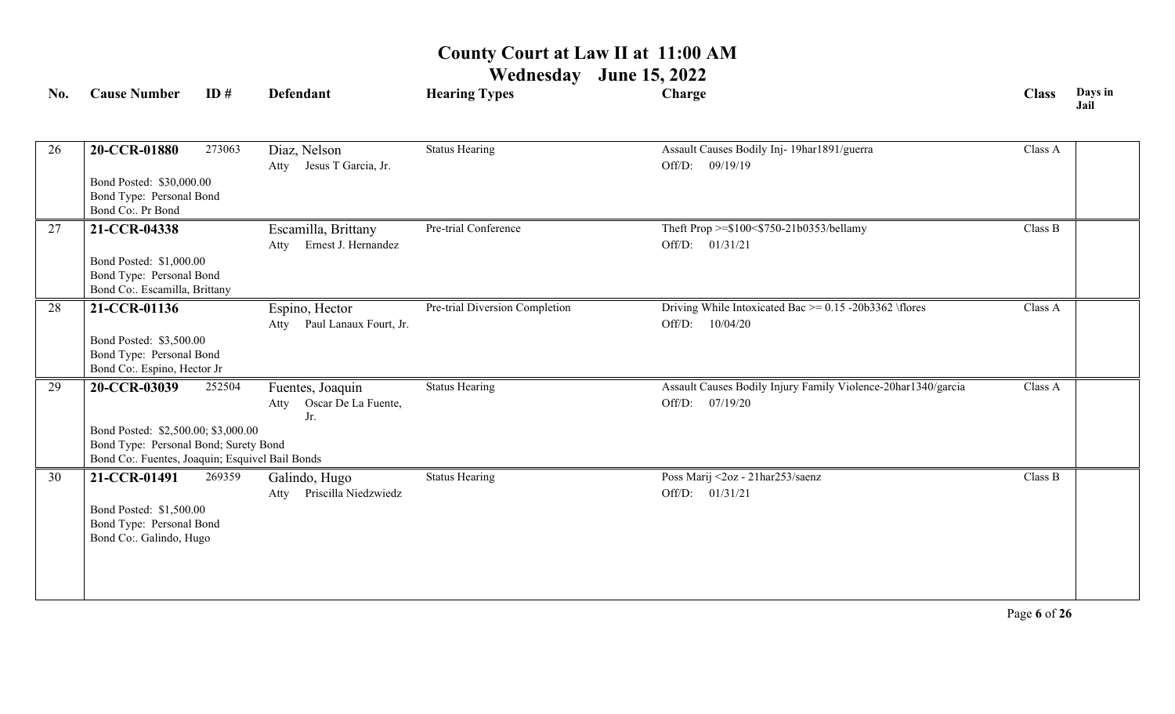| No. | <b>Cause Number</b>                                                          | ID#    | <b>Defendant</b>             | <b>Hearing Types</b>           | Charge                                                        | <b>Class</b> | Days in<br>Jail |
|-----|------------------------------------------------------------------------------|--------|------------------------------|--------------------------------|---------------------------------------------------------------|--------------|-----------------|
|     |                                                                              |        |                              |                                |                                                               |              |                 |
| 26  | 20-CCR-01880                                                                 | 273063 | Diaz, Nelson                 | <b>Status Hearing</b>          | Assault Causes Bodily Inj- 19har1891/guerra                   | Class A      |                 |
|     |                                                                              |        | Atty Jesus T Garcia, Jr.     |                                | Off/D: 09/19/19                                               |              |                 |
|     | Bond Posted: \$30,000.00                                                     |        |                              |                                |                                                               |              |                 |
|     | Bond Type: Personal Bond                                                     |        |                              |                                |                                                               |              |                 |
|     | Bond Co:. Pr Bond                                                            |        |                              |                                |                                                               |              |                 |
| 27  | 21-CCR-04338                                                                 |        | Escamilla, Brittany          | Pre-trial Conference           | Theft Prop >=\$100<\$750-21b0353/bellamy                      | Class B      |                 |
|     |                                                                              |        | Atty Ernest J. Hernandez     |                                | Off/D: 01/31/21                                               |              |                 |
|     | Bond Posted: \$1,000.00                                                      |        |                              |                                |                                                               |              |                 |
|     | Bond Type: Personal Bond<br>Bond Co:. Escamilla, Brittany                    |        |                              |                                |                                                               |              |                 |
| 28  | 21-CCR-01136                                                                 |        | Espino, Hector               | Pre-trial Diversion Completion | Driving While Intoxicated Bac $\geq$ 0.15 -20b3362 \flores    | Class A      |                 |
|     |                                                                              |        | Atty Paul Lanaux Fourt, Jr.  |                                | Off/D: 10/04/20                                               |              |                 |
|     | Bond Posted: \$3,500.00                                                      |        |                              |                                |                                                               |              |                 |
|     | Bond Type: Personal Bond                                                     |        |                              |                                |                                                               |              |                 |
|     | Bond Co:. Espino, Hector Jr                                                  |        |                              |                                |                                                               |              |                 |
| 29  | 20-CCR-03039                                                                 | 252504 | Fuentes, Joaquin             | <b>Status Hearing</b>          | Assault Causes Bodily Injury Family Violence-20har1340/garcia | Class A      |                 |
|     |                                                                              |        | Oscar De La Fuente,<br>Atty  |                                | Off/D: 07/19/20                                               |              |                 |
|     |                                                                              |        | Jr.                          |                                |                                                               |              |                 |
|     | Bond Posted: \$2,500.00; \$3,000.00<br>Bond Type: Personal Bond; Surety Bond |        |                              |                                |                                                               |              |                 |
|     | Bond Co:. Fuentes, Joaquin; Esquivel Bail Bonds                              |        |                              |                                |                                                               |              |                 |
| 30  | 21-CCR-01491                                                                 | 269359 | Galindo, Hugo                | <b>Status Hearing</b>          | Poss Marij <2oz - 21har253/saenz                              | Class B      |                 |
|     |                                                                              |        | Priscilla Niedzwiedz<br>Atty |                                | Off/D: 01/31/21                                               |              |                 |
|     | Bond Posted: \$1,500.00                                                      |        |                              |                                |                                                               |              |                 |
|     | Bond Type: Personal Bond                                                     |        |                              |                                |                                                               |              |                 |
|     | Bond Co:. Galindo, Hugo                                                      |        |                              |                                |                                                               |              |                 |
|     |                                                                              |        |                              |                                |                                                               |              |                 |
|     |                                                                              |        |                              |                                |                                                               |              |                 |
|     |                                                                              |        |                              |                                |                                                               |              |                 |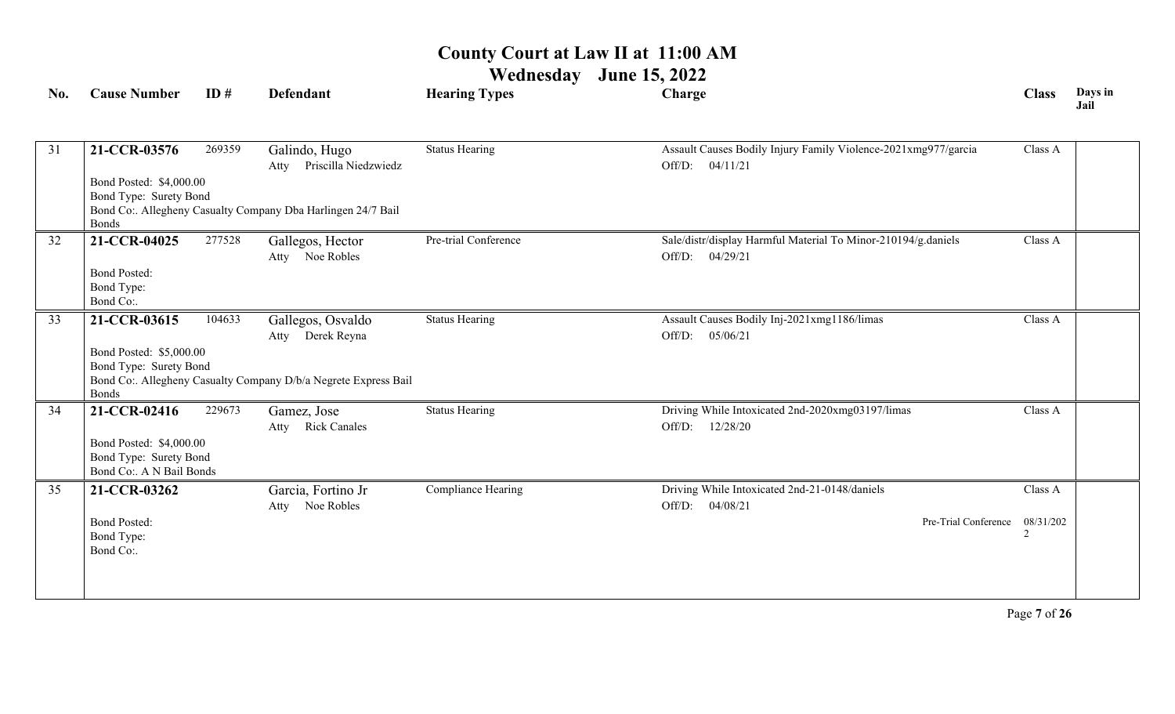| No. | <b>Cause Number</b>                                                                           | ID#    | <b>Defendant</b>                                                                                           | <b>Hearing Types</b>  | Charge                                                                                             | <b>Class</b>              | Days in<br>Jail |
|-----|-----------------------------------------------------------------------------------------------|--------|------------------------------------------------------------------------------------------------------------|-----------------------|----------------------------------------------------------------------------------------------------|---------------------------|-----------------|
| 31  | 21-CCR-03576<br>Bond Posted: \$4,000.00<br>Bond Type: Surety Bond<br><b>Bonds</b>             | 269359 | Galindo, Hugo<br>Atty Priscilla Niedzwiedz<br>Bond Co:. Allegheny Casualty Company Dba Harlingen 24/7 Bail | <b>Status Hearing</b> | Assault Causes Bodily Injury Family Violence-2021xmg977/garcia<br>Off/D: 04/11/21                  | Class A                   |                 |
| 32  | 21-CCR-04025<br><b>Bond Posted:</b><br>Bond Type:<br>Bond Co:.                                | 277528 | Gallegos, Hector<br>Atty Noe Robles                                                                        | Pre-trial Conference  | Sale/distr/display Harmful Material To Minor-210194/g.daniels<br>Off/D: 04/29/21                   | Class A                   |                 |
| 33  | 21-CCR-03615<br>Bond Posted: \$5,000.00<br>Bond Type: Surety Bond<br><b>Bonds</b>             | 104633 | Gallegos, Osvaldo<br>Atty Derek Reyna<br>Bond Co:. Allegheny Casualty Company D/b/a Negrete Express Bail   | <b>Status Hearing</b> | Assault Causes Bodily Inj-2021xmg1186/limas<br>05/06/21<br>Off/D:                                  | Class A                   |                 |
| 34  | 21-CCR-02416<br>Bond Posted: \$4,000.00<br>Bond Type: Surety Bond<br>Bond Co:. A N Bail Bonds | 229673 | Gamez, Jose<br>Atty Rick Canales                                                                           | <b>Status Hearing</b> | Driving While Intoxicated 2nd-2020xmg03197/limas<br>12/28/20<br>Off/D:                             | Class A                   |                 |
| 35  | 21-CCR-03262<br><b>Bond Posted:</b><br>Bond Type:<br>Bond Co:.                                |        | Garcia, Fortino Jr<br>Atty Noe Robles                                                                      | Compliance Hearing    | Driving While Intoxicated 2nd-21-0148/daniels<br>Off/D: 04/08/21<br>Pre-Trial Conference 08/31/202 | Class A<br>$\overline{2}$ |                 |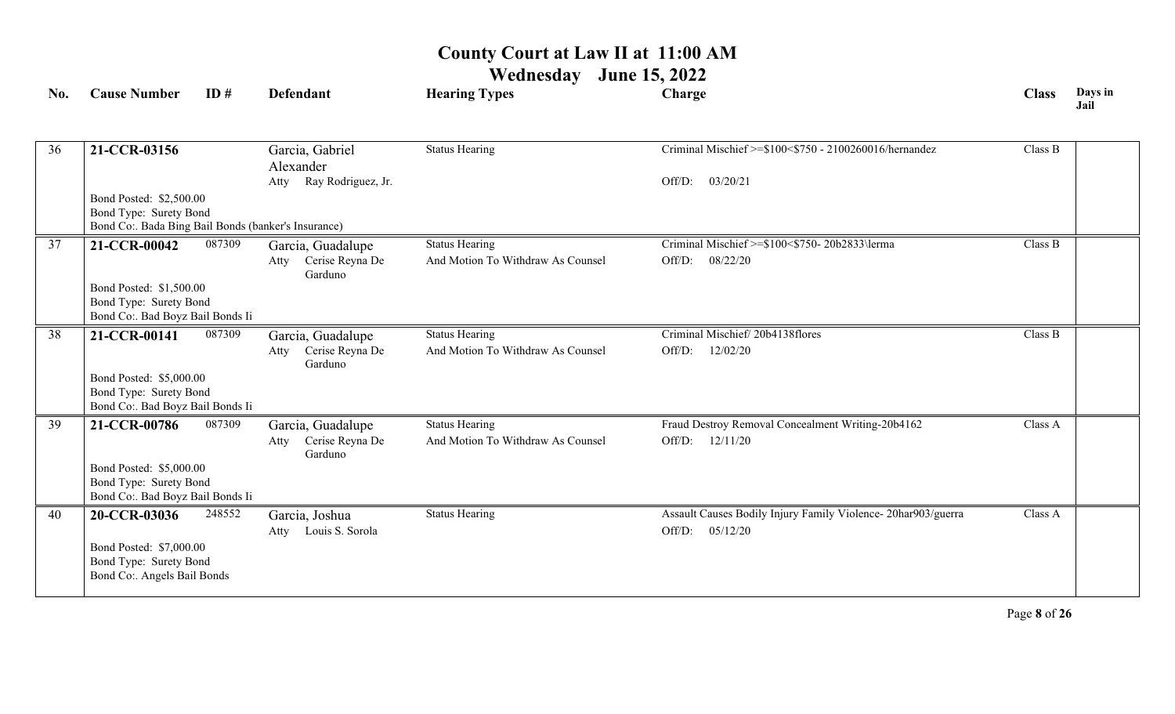| No. | <b>Cause Number</b>                                                           | ID#    | <b>Defendant</b>                          | <b>Hearing Types</b>              | Charge                                                                              | <b>Class</b> | Days in<br>Jail |
|-----|-------------------------------------------------------------------------------|--------|-------------------------------------------|-----------------------------------|-------------------------------------------------------------------------------------|--------------|-----------------|
|     |                                                                               |        |                                           |                                   |                                                                                     |              |                 |
| 36  | 21-CCR-03156                                                                  |        | Garcia, Gabriel<br>Alexander              | <b>Status Hearing</b>             | Criminal Mischief >=\$100<\$750 - 2100260016/hernandez                              | Class B      |                 |
|     |                                                                               |        | Ray Rodriguez, Jr.<br>Atty                |                                   | Off/D:<br>03/20/21                                                                  |              |                 |
|     | Bond Posted: \$2,500.00                                                       |        |                                           |                                   |                                                                                     |              |                 |
|     | Bond Type: Surety Bond<br>Bond Co:. Bada Bing Bail Bonds (banker's Insurance) |        |                                           |                                   |                                                                                     |              |                 |
| 37  | 21-CCR-00042                                                                  | 087309 | Garcia, Guadalupe                         | <b>Status Hearing</b>             | Criminal Mischief >=\$100<\$750-20b2833\lerma                                       | Class B      |                 |
|     |                                                                               |        | Cerise Reyna De<br>Atty<br>Garduno        | And Motion To Withdraw As Counsel | 08/22/20<br>Off/D:                                                                  |              |                 |
|     | Bond Posted: \$1,500.00                                                       |        |                                           |                                   |                                                                                     |              |                 |
|     | Bond Type: Surety Bond<br>Bond Co:. Bad Boyz Bail Bonds Ii                    |        |                                           |                                   |                                                                                     |              |                 |
| 38  | 21-CCR-00141                                                                  | 087309 | Garcia, Guadalupe                         | <b>Status Hearing</b>             | Criminal Mischief/20b4138flores                                                     | Class B      |                 |
|     |                                                                               |        | Cerise Reyna De<br>Atty<br>Garduno        | And Motion To Withdraw As Counsel | 12/02/20<br>Off/D:                                                                  |              |                 |
|     | Bond Posted: \$5,000.00                                                       |        |                                           |                                   |                                                                                     |              |                 |
|     | Bond Type: Surety Bond<br>Bond Co:. Bad Boyz Bail Bonds Ii                    |        |                                           |                                   |                                                                                     |              |                 |
| 39  | 21-CCR-00786                                                                  | 087309 | Garcia, Guadalupe                         | <b>Status Hearing</b>             | Fraud Destroy Removal Concealment Writing-20b4162                                   | Class A      |                 |
|     |                                                                               |        | Cerise Reyna De<br>Atty<br>Garduno        | And Motion To Withdraw As Counsel | Off/D: 12/11/20                                                                     |              |                 |
|     | Bond Posted: \$5,000.00                                                       |        |                                           |                                   |                                                                                     |              |                 |
|     | Bond Type: Surety Bond<br>Bond Co:. Bad Boyz Bail Bonds Ii                    |        |                                           |                                   |                                                                                     |              |                 |
| 40  | 20-CCR-03036                                                                  | 248552 | Garcia, Joshua<br>Louis S. Sorola<br>Atty | <b>Status Hearing</b>             | Assault Causes Bodily Injury Family Violence- 20har903/guerra<br>Off/D:<br>05/12/20 | Class A      |                 |
|     | Bond Posted: \$7,000.00                                                       |        |                                           |                                   |                                                                                     |              |                 |
|     | Bond Type: Surety Bond                                                        |        |                                           |                                   |                                                                                     |              |                 |
|     | Bond Co:. Angels Bail Bonds                                                   |        |                                           |                                   |                                                                                     |              |                 |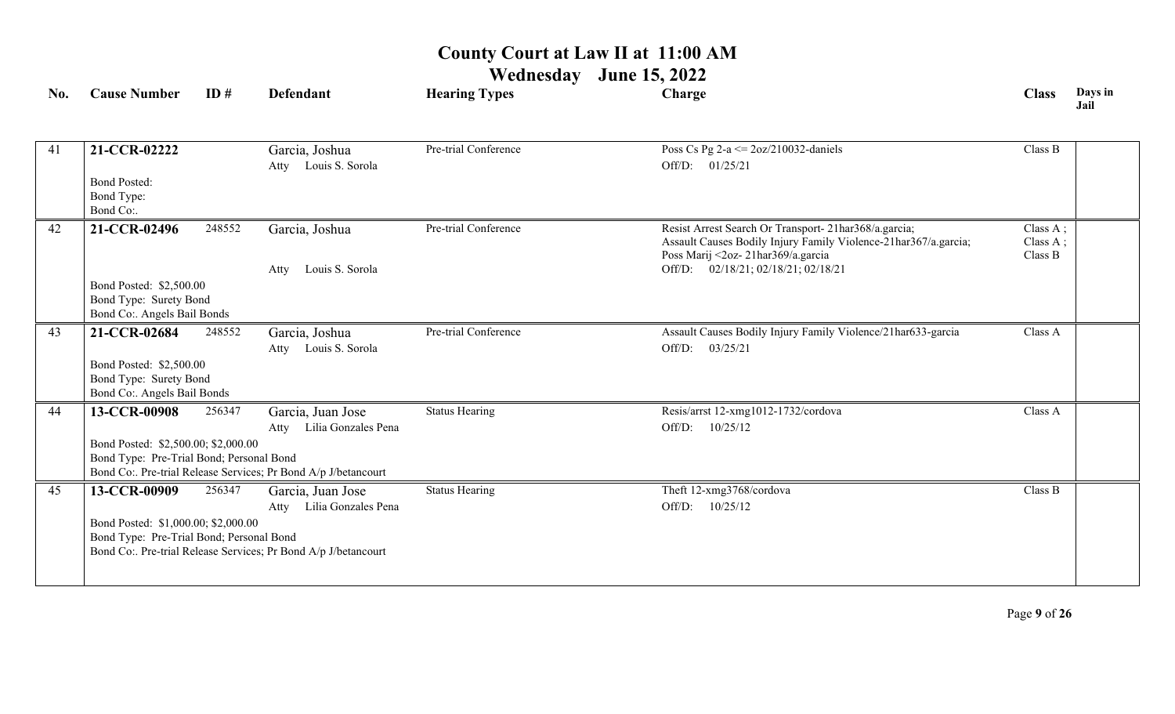| No. | <b>Cause Number</b>                                                             | ID#    | <b>Defendant</b>                                               | <b>Hearing Types</b>  | Charge                                                                                               | <b>Class</b>           | Days in<br>Jail |
|-----|---------------------------------------------------------------------------------|--------|----------------------------------------------------------------|-----------------------|------------------------------------------------------------------------------------------------------|------------------------|-----------------|
|     |                                                                                 |        |                                                                |                       |                                                                                                      |                        |                 |
| 41  | 21-CCR-02222                                                                    |        | Garcia, Joshua<br>Atty Louis S. Sorola                         | Pre-trial Conference  | Poss Cs Pg $2-a \le 2oz/210032$ -daniels<br>Off/D: 01/25/21                                          | Class B                |                 |
|     | <b>Bond Posted:</b>                                                             |        |                                                                |                       |                                                                                                      |                        |                 |
|     | Bond Type:<br>Bond Co:.                                                         |        |                                                                |                       |                                                                                                      |                        |                 |
| 42  | 21-CCR-02496                                                                    | 248552 | Garcia, Joshua                                                 | Pre-trial Conference  | Resist Arrest Search Or Transport- 21har368/a.garcia;                                                | Class A;               |                 |
|     |                                                                                 |        |                                                                |                       | Assault Causes Bodily Injury Family Violence-21har367/a.garcia;<br>Poss Marij <2oz-21har369/a.garcia | Class $A$ ;<br>Class B |                 |
|     |                                                                                 |        | Louis S. Sorola<br>Atty                                        |                       | Off/D: 02/18/21; 02/18/21; 02/18/21                                                                  |                        |                 |
|     | Bond Posted: \$2,500.00<br>Bond Type: Surety Bond                               |        |                                                                |                       |                                                                                                      |                        |                 |
|     | Bond Co:. Angels Bail Bonds                                                     |        |                                                                |                       |                                                                                                      |                        |                 |
| 43  | 21-CCR-02684                                                                    | 248552 | Garcia, Joshua                                                 | Pre-trial Conference  | Assault Causes Bodily Injury Family Violence/21har633-garcia                                         | Class A                |                 |
|     |                                                                                 |        | Atty Louis S. Sorola                                           |                       | Off/D:<br>03/25/21                                                                                   |                        |                 |
|     | Bond Posted: \$2,500.00<br>Bond Type: Surety Bond                               |        |                                                                |                       |                                                                                                      |                        |                 |
|     | Bond Co:. Angels Bail Bonds                                                     |        |                                                                |                       |                                                                                                      |                        |                 |
| 44  | 13-CCR-00908                                                                    | 256347 | Garcia, Juan Jose                                              | <b>Status Hearing</b> | Resis/arrst 12-xmg1012-1732/cordova                                                                  | Class A                |                 |
|     |                                                                                 |        | Lilia Gonzales Pena<br>Atty                                    |                       | Off/D: $10/25/12$                                                                                    |                        |                 |
|     | Bond Posted: \$2,500.00; \$2,000.00<br>Bond Type: Pre-Trial Bond; Personal Bond |        |                                                                |                       |                                                                                                      |                        |                 |
|     |                                                                                 |        | Bond Co:. Pre-trial Release Services; Pr Bond A/p J/betancourt |                       |                                                                                                      |                        |                 |
| 45  | 13-CCR-00909                                                                    | 256347 | Garcia, Juan Jose                                              | <b>Status Hearing</b> | Theft 12-xmg3768/cordova                                                                             | Class B                |                 |
|     |                                                                                 |        | Lilia Gonzales Pena<br>Atty                                    |                       | Off/D: $10/25/12$                                                                                    |                        |                 |
|     | Bond Posted: \$1,000.00; \$2,000.00<br>Bond Type: Pre-Trial Bond; Personal Bond |        |                                                                |                       |                                                                                                      |                        |                 |
|     |                                                                                 |        | Bond Co:. Pre-trial Release Services; Pr Bond A/p J/betancourt |                       |                                                                                                      |                        |                 |
|     |                                                                                 |        |                                                                |                       |                                                                                                      |                        |                 |
|     |                                                                                 |        |                                                                |                       |                                                                                                      |                        |                 |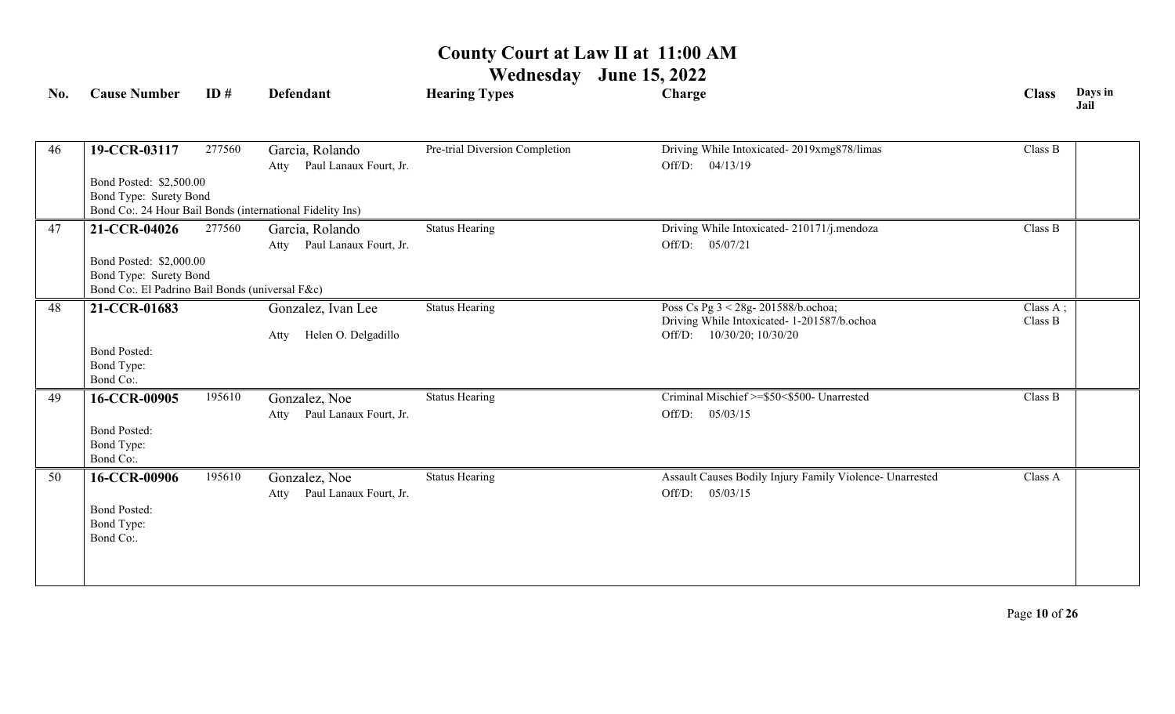| No. | <b>Cause Number</b>                             | ID#    | Defendant                                                 | <b>Hearing Types</b>           | Charge                                                   | <b>Class</b> | Days in<br>Jail |
|-----|-------------------------------------------------|--------|-----------------------------------------------------------|--------------------------------|----------------------------------------------------------|--------------|-----------------|
|     |                                                 |        |                                                           |                                |                                                          |              |                 |
| 46  | 19-CCR-03117                                    | 277560 | Garcia, Rolando                                           | Pre-trial Diversion Completion | Driving While Intoxicated-2019xmg878/limas               | Class B      |                 |
|     |                                                 |        | Paul Lanaux Fourt, Jr.<br>Atty                            |                                | Off/D: 04/13/19                                          |              |                 |
|     | Bond Posted: \$2,500.00                         |        |                                                           |                                |                                                          |              |                 |
|     | Bond Type: Surety Bond                          |        |                                                           |                                |                                                          |              |                 |
|     |                                                 |        | Bond Co:. 24 Hour Bail Bonds (international Fidelity Ins) |                                |                                                          |              |                 |
| 47  | 21-CCR-04026                                    | 277560 | Garcia, Rolando                                           | <b>Status Hearing</b>          | Driving While Intoxicated-210171/j.mendoza               | Class B      |                 |
|     |                                                 |        | Atty Paul Lanaux Fourt, Jr.                               |                                | Off/D: 05/07/21                                          |              |                 |
|     | Bond Posted: \$2,000.00                         |        |                                                           |                                |                                                          |              |                 |
|     | Bond Type: Surety Bond                          |        |                                                           |                                |                                                          |              |                 |
|     | Bond Co:. El Padrino Bail Bonds (universal F&c) |        |                                                           |                                |                                                          |              |                 |
| 48  | 21-CCR-01683                                    |        | Gonzalez, Ivan Lee                                        | <b>Status Hearing</b>          | Poss Cs Pg 3 < 28g- 201588/b.ochoa;                      | Class A;     |                 |
|     |                                                 |        |                                                           |                                | Driving While Intoxicated- 1-201587/b.ochoa              | Class B      |                 |
|     |                                                 |        | Helen O. Delgadillo<br>Atty                               |                                | Off/D: 10/30/20; 10/30/20                                |              |                 |
|     | <b>Bond Posted:</b><br>Bond Type:               |        |                                                           |                                |                                                          |              |                 |
|     | Bond Co:.                                       |        |                                                           |                                |                                                          |              |                 |
| 49  | 16-CCR-00905                                    | 195610 | Gonzalez, Noe                                             | <b>Status Hearing</b>          | Criminal Mischief >=\$50<\$500- Unarrested               | Class B      |                 |
|     |                                                 |        | Paul Lanaux Fourt, Jr.                                    |                                | Off/D:<br>05/03/15                                       |              |                 |
|     | <b>Bond Posted:</b>                             |        | Atty                                                      |                                |                                                          |              |                 |
|     | Bond Type:                                      |        |                                                           |                                |                                                          |              |                 |
|     | Bond Co:.                                       |        |                                                           |                                |                                                          |              |                 |
| 50  | 16-CCR-00906                                    | 195610 | Gonzalez, Noe                                             | <b>Status Hearing</b>          | Assault Causes Bodily Injury Family Violence- Unarrested | Class A      |                 |
|     |                                                 |        | Paul Lanaux Fourt, Jr.<br>Atty                            |                                | 05/03/15<br>Off/D:                                       |              |                 |
|     | <b>Bond Posted:</b>                             |        |                                                           |                                |                                                          |              |                 |
|     | Bond Type:                                      |        |                                                           |                                |                                                          |              |                 |
|     | Bond Co:.                                       |        |                                                           |                                |                                                          |              |                 |
|     |                                                 |        |                                                           |                                |                                                          |              |                 |
|     |                                                 |        |                                                           |                                |                                                          |              |                 |
|     |                                                 |        |                                                           |                                |                                                          |              |                 |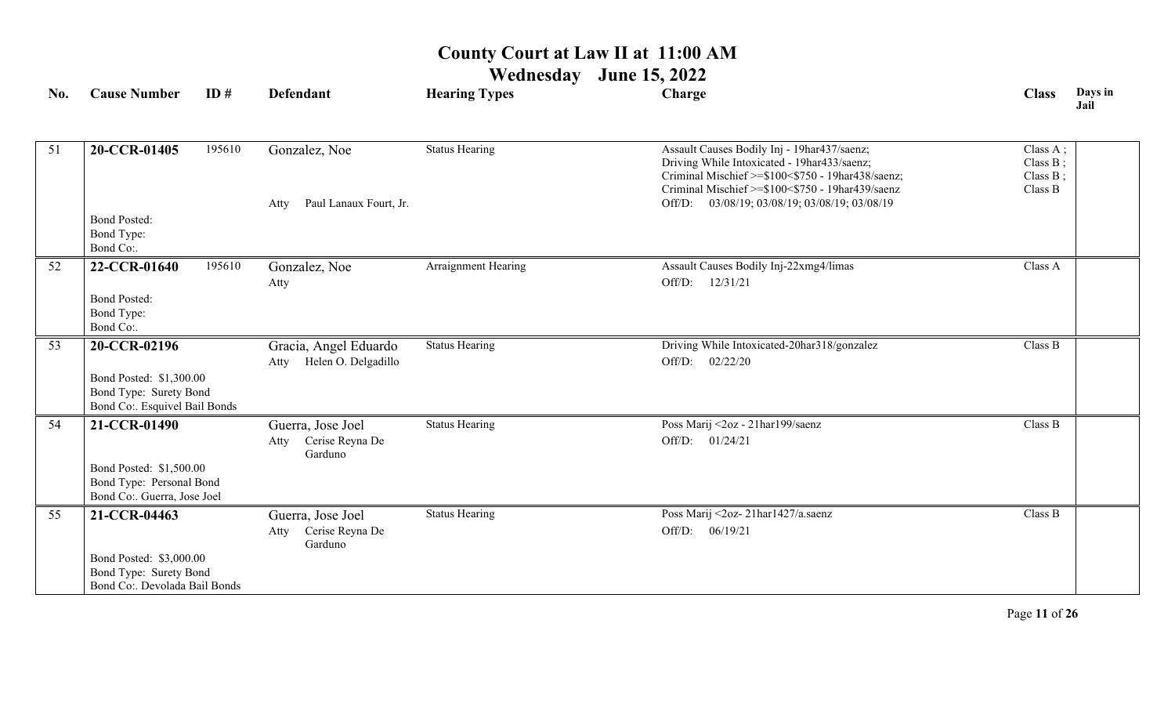**Wednesday June 15, 2022**

| No. | <b>Cause Number</b>                                                                | ID#    | <b>Defendant</b>                                        | <b>Hearing Types</b>  | Charge                                                                                                                                                                                              | <b>Class</b>                                | Days in<br>Jail |
|-----|------------------------------------------------------------------------------------|--------|---------------------------------------------------------|-----------------------|-----------------------------------------------------------------------------------------------------------------------------------------------------------------------------------------------------|---------------------------------------------|-----------------|
| 51  | 20-CCR-01405                                                                       | 195610 | Gonzalez, Noe                                           | <b>Status Hearing</b> | Assault Causes Bodily Inj - 19har437/saenz;<br>Driving While Intoxicated - 19har433/saenz;<br>Criminal Mischief >=\$100<\$750 - 19har438/saenz;<br>Criminal Mischief >=\$100<\$750 - 19har439/saenz | Class A;<br>Class B;<br>Class B;<br>Class B |                 |
|     |                                                                                    |        | Paul Lanaux Fourt, Jr.<br>Atty                          |                       | 03/08/19; 03/08/19; 03/08/19; 03/08/19<br>Off/D:                                                                                                                                                    |                                             |                 |
|     | <b>Bond Posted:</b><br>Bond Type:<br>Bond Co:.                                     |        |                                                         |                       |                                                                                                                                                                                                     |                                             |                 |
| 52  | 22-CCR-01640                                                                       | 195610 | Gonzalez, Noe                                           | Arraignment Hearing   | Assault Causes Bodily Inj-22xmg4/limas                                                                                                                                                              | Class A                                     |                 |
|     |                                                                                    |        | Atty                                                    |                       | 12/31/21<br>Off/D:                                                                                                                                                                                  |                                             |                 |
|     | <b>Bond Posted:</b><br>Bond Type:<br>Bond Co:.                                     |        |                                                         |                       |                                                                                                                                                                                                     |                                             |                 |
| 53  | 20-CCR-02196                                                                       |        | Gracia, Angel Eduardo<br>Helen O. Delgadillo<br>Atty    | <b>Status Hearing</b> | Driving While Intoxicated-20har318/gonzalez<br>02/22/20<br>Off/D:                                                                                                                                   | Class B                                     |                 |
|     | Bond Posted: \$1,300.00<br>Bond Type: Surety Bond<br>Bond Co:. Esquivel Bail Bonds |        |                                                         |                       |                                                                                                                                                                                                     |                                             |                 |
| 54  | 21-CCR-01490                                                                       |        | Guerra, Jose Joel<br>Cerise Reyna De<br>Atty<br>Garduno | <b>Status Hearing</b> | Poss Marij <2oz - 21har199/saenz<br>Off/D: 01/24/21                                                                                                                                                 | Class B                                     |                 |
|     | Bond Posted: \$1,500.00<br>Bond Type: Personal Bond<br>Bond Co:. Guerra, Jose Joel |        |                                                         |                       |                                                                                                                                                                                                     |                                             |                 |
| 55  | 21-CCR-04463                                                                       |        | Guerra, Jose Joel<br>Cerise Reyna De<br>Atty<br>Garduno | <b>Status Hearing</b> | Poss Marij <2oz-21har1427/a.saenz<br>Off/D: 06/19/21                                                                                                                                                | Class B                                     |                 |
|     | Bond Posted: \$3,000.00<br>Bond Type: Surety Bond<br>Bond Co:. Devolada Bail Bonds |        |                                                         |                       |                                                                                                                                                                                                     |                                             |                 |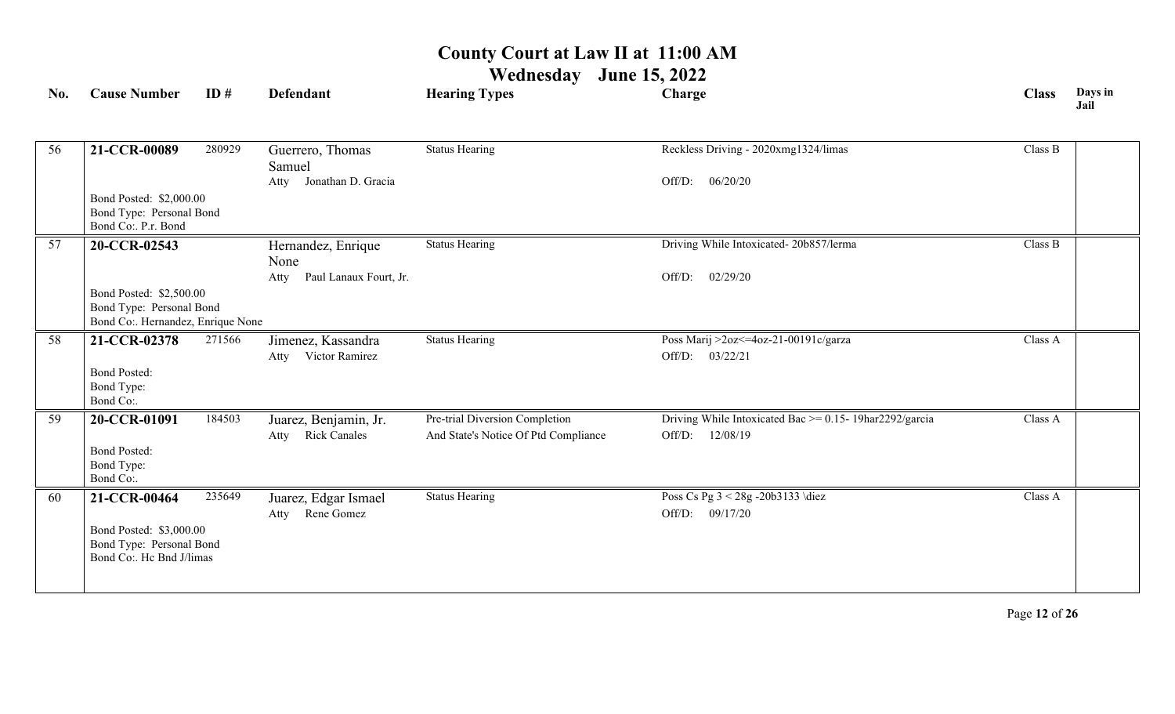# **Wednesday June 15, 2022**

|                                                | ID#                 | <b>Defendant</b>                                                                                                                                                                              | <b>Hearing Types</b>                                                                           | Charge                                                       | <b>Class</b>                                                                       | Days in<br>Jail |
|------------------------------------------------|---------------------|-----------------------------------------------------------------------------------------------------------------------------------------------------------------------------------------------|------------------------------------------------------------------------------------------------|--------------------------------------------------------------|------------------------------------------------------------------------------------|-----------------|
| 21-CCR-00089                                   | 280929              | Guerrero, Thomas<br>Samuel                                                                                                                                                                    | <b>Status Hearing</b>                                                                          | Reckless Driving - 2020xmg1324/limas                         | Class B                                                                            |                 |
| Bond Co:. P.r. Bond                            |                     |                                                                                                                                                                                               |                                                                                                |                                                              |                                                                                    |                 |
| 20-CCR-02543                                   |                     | Hernandez, Enrique<br>None                                                                                                                                                                    | <b>Status Hearing</b>                                                                          |                                                              | Class B                                                                            |                 |
|                                                |                     | Paul Lanaux Fourt, Jr.<br>Atty                                                                                                                                                                |                                                                                                | Off/D:<br>02/29/20                                           |                                                                                    |                 |
|                                                |                     |                                                                                                                                                                                               |                                                                                                |                                                              |                                                                                    |                 |
| 21-CCR-02378                                   | 271566              | Jimenez, Kassandra<br>Victor Ramirez<br>Atty                                                                                                                                                  | <b>Status Hearing</b>                                                                          | Poss Marij >2oz <= 4oz-21-00191c/garza<br>03/22/21<br>Off/D: | Class A                                                                            |                 |
| Bond Type:<br>Bond Co:.                        |                     |                                                                                                                                                                                               |                                                                                                |                                                              |                                                                                    |                 |
| 20-CCR-01091                                   | 184503              | Juarez, Benjamin, Jr.                                                                                                                                                                         | Pre-trial Diversion Completion                                                                 | Driving While Intoxicated Bac $\ge$ = 0.15- 19har2292/garcia | Class A                                                                            |                 |
| <b>Bond Posted:</b><br>Bond Type:<br>Bond Co:. |                     |                                                                                                                                                                                               |                                                                                                |                                                              |                                                                                    |                 |
| 21-CCR-00464                                   | 235649              | Juarez, Edgar Ismael<br>Rene Gomez<br>Atty                                                                                                                                                    | <b>Status Hearing</b>                                                                          | Poss Cs Pg 3 < 28g - 20b3133 \diez<br>Off/D: 09/17/20        | Class A                                                                            |                 |
|                                                | <b>Bond Posted:</b> | Bond Posted: \$2,000.00<br>Bond Type: Personal Bond<br>Bond Posted: \$2,500.00<br>Bond Type: Personal Bond<br>Bond Posted: \$3,000.00<br>Bond Type: Personal Bond<br>Bond Co:. Hc Bnd J/limas | Jonathan D. Gracia<br>Atty<br>Bond Co:. Hernandez, Enrique None<br><b>Rick Canales</b><br>Atty | And State's Notice Of Ptd Compliance                         | Off/D:<br>06/20/20<br>Driving While Intoxicated-20b857/lerma<br>12/08/19<br>Off/D: |                 |

Page **12** of **26**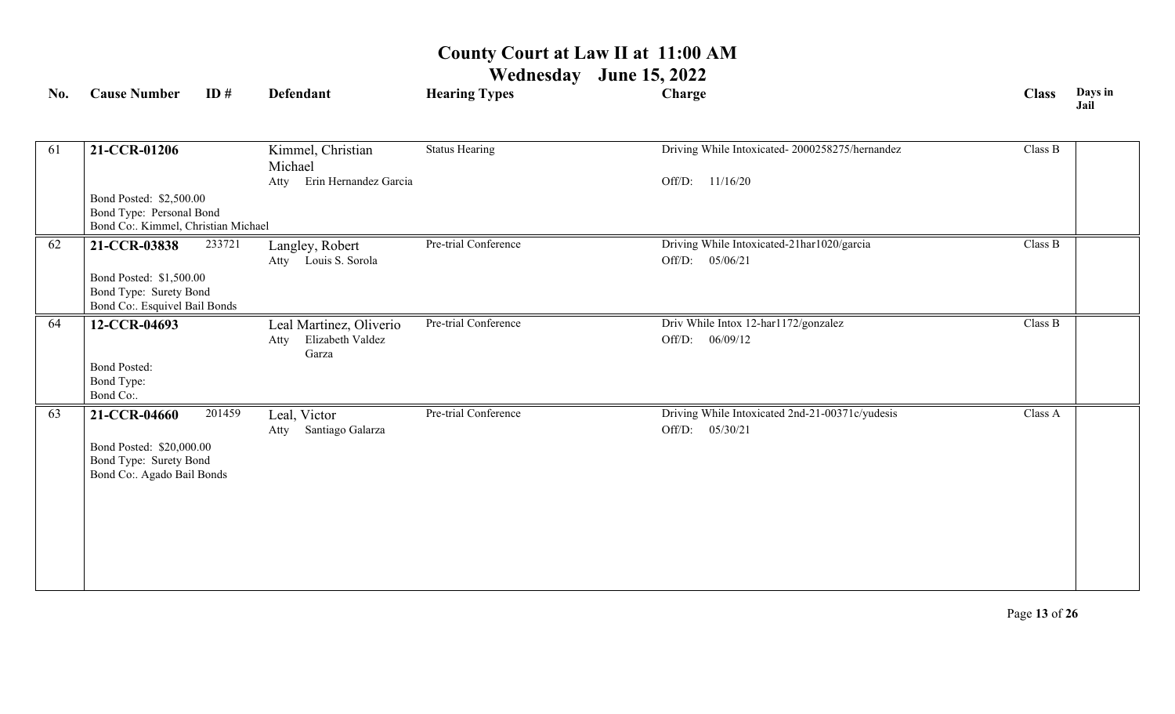| No. | <b>Cause Number</b>                                                                                | ID#    | <b>Defendant</b>                                             | <b>Hearing Types</b>  | Charge                                                             | <b>Class</b> | Days in<br>Jail |
|-----|----------------------------------------------------------------------------------------------------|--------|--------------------------------------------------------------|-----------------------|--------------------------------------------------------------------|--------------|-----------------|
| 61  | 21-CCR-01206                                                                                       |        | Kimmel, Christian<br>Michael                                 | <b>Status Hearing</b> | Driving While Intoxicated-2000258275/hernandez                     | Class B      |                 |
|     | Bond Posted: \$2,500.00<br>Bond Type: Personal Bond<br>Bond Co:. Kimmel, Christian Michael         |        | Erin Hernandez Garcia<br>Atty                                |                       | Off/D: 11/16/20                                                    |              |                 |
| 62  | 21-CCR-03838<br>Bond Posted: \$1,500.00<br>Bond Type: Surety Bond<br>Bond Co:. Esquivel Bail Bonds | 233721 | Langley, Robert<br>Atty Louis S. Sorola                      | Pre-trial Conference  | Driving While Intoxicated-21har1020/garcia<br>Off/D:<br>05/06/21   | Class B      |                 |
| 64  | 12-CCR-04693<br><b>Bond Posted:</b><br>Bond Type:<br>Bond Co:.                                     |        | Leal Martinez, Oliverio<br>Elizabeth Valdez<br>Atty<br>Garza | Pre-trial Conference  | Driv While Intox 12-harl172/gonzalez<br>Off/D:<br>06/09/12         | Class B      |                 |
| 63  | 21-CCR-04660<br>Bond Posted: \$20,000.00<br>Bond Type: Surety Bond<br>Bond Co:. Agado Bail Bonds   | 201459 | Leal, Victor<br>Santiago Galarza<br>Atty                     | Pre-trial Conference  | Driving While Intoxicated 2nd-21-00371c/yudesis<br>Off/D: 05/30/21 | Class A      |                 |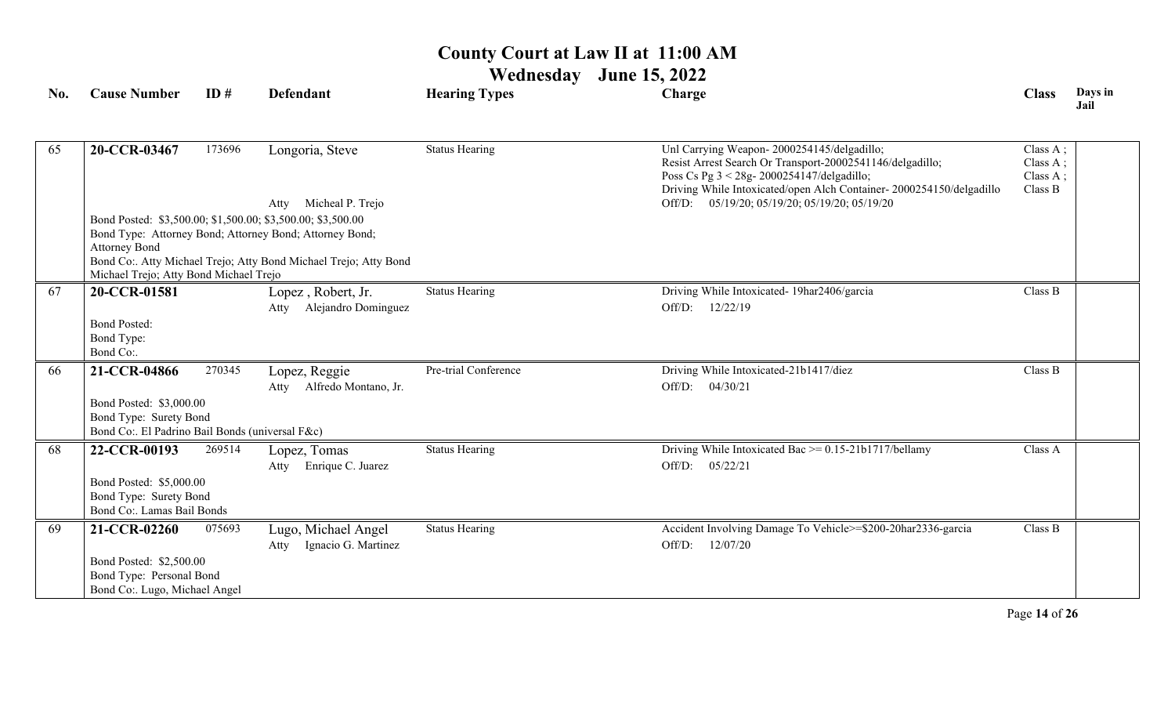## **Wednesday June 15, 2022**

| No. | <b>Cause Number</b>                               | ID#    | <b>Defendant</b>                                                 | <b>Hearing Types</b>  | Charge                                                                                                            | <b>Class</b>         | Days in<br>Jail |
|-----|---------------------------------------------------|--------|------------------------------------------------------------------|-----------------------|-------------------------------------------------------------------------------------------------------------------|----------------------|-----------------|
|     |                                                   |        |                                                                  |                       |                                                                                                                   |                      |                 |
| 65  | 20-CCR-03467                                      | 173696 | Longoria, Steve                                                  | <b>Status Hearing</b> | Unl Carrying Weapon-2000254145/delgadillo;<br>Resist Arrest Search Or Transport-20002541146/delgadillo;           | Class A;<br>Class A; |                 |
|     |                                                   |        |                                                                  |                       | Poss Cs Pg 3 < 28g- 2000254147/delgadillo;<br>Driving While Intoxicated/open Alch Container-2000254150/delgadillo | Class A;<br>Class B  |                 |
|     |                                                   |        | Micheal P. Trejo<br>Atty                                         |                       | Off/D: 05/19/20; 05/19/20; 05/19/20; 05/19/20                                                                     |                      |                 |
|     |                                                   |        | Bond Posted: \$3,500.00; \$1,500.00; \$3,500.00; \$3,500.00      |                       |                                                                                                                   |                      |                 |
|     |                                                   |        | Bond Type: Attorney Bond; Attorney Bond; Attorney Bond;          |                       |                                                                                                                   |                      |                 |
|     | <b>Attorney Bond</b>                              |        | Bond Co:. Atty Michael Trejo; Atty Bond Michael Trejo; Atty Bond |                       |                                                                                                                   |                      |                 |
|     | Michael Trejo; Atty Bond Michael Trejo            |        |                                                                  |                       |                                                                                                                   |                      |                 |
| 67  | 20-CCR-01581                                      |        | Lopez, Robert, Jr.                                               | <b>Status Hearing</b> | Driving While Intoxicated- 19har2406/garcia                                                                       | Class B              |                 |
|     |                                                   |        | Alejandro Dominguez<br>Atty                                      |                       | 12/22/19<br>Off/D:                                                                                                |                      |                 |
|     | <b>Bond Posted:</b>                               |        |                                                                  |                       |                                                                                                                   |                      |                 |
|     | Bond Type:                                        |        |                                                                  |                       |                                                                                                                   |                      |                 |
|     | Bond Co:.                                         |        |                                                                  |                       |                                                                                                                   |                      |                 |
| 66  | 21-CCR-04866                                      | 270345 | Lopez, Reggie                                                    | Pre-trial Conference  | Driving While Intoxicated-21b1417/diez                                                                            | Class B              |                 |
|     |                                                   |        | Alfredo Montano, Jr.<br>Atty                                     |                       | Off/D: 04/30/21                                                                                                   |                      |                 |
|     | Bond Posted: \$3,000.00                           |        |                                                                  |                       |                                                                                                                   |                      |                 |
|     | Bond Type: Surety Bond                            |        |                                                                  |                       |                                                                                                                   |                      |                 |
|     | Bond Co:. El Padrino Bail Bonds (universal F&c)   |        |                                                                  |                       |                                                                                                                   |                      |                 |
| 68  | 22-CCR-00193                                      | 269514 | Lopez, Tomas                                                     | <b>Status Hearing</b> | Driving While Intoxicated Bac $\ge$ = 0.15-21b1717/bellamy                                                        | Class A              |                 |
|     |                                                   |        | Enrique C. Juarez<br>Atty                                        |                       | Off/D: 05/22/21                                                                                                   |                      |                 |
|     | Bond Posted: \$5,000.00<br>Bond Type: Surety Bond |        |                                                                  |                       |                                                                                                                   |                      |                 |
|     | Bond Co:. Lamas Bail Bonds                        |        |                                                                  |                       |                                                                                                                   |                      |                 |
| 69  | 21-CCR-02260                                      | 075693 | Lugo, Michael Angel                                              | <b>Status Hearing</b> | Accident Involving Damage To Vehicle>=\$200-20har2336-garcia                                                      | Class B              |                 |
|     |                                                   |        | Ignacio G. Martinez<br>Atty                                      |                       | Off/D:<br>12/07/20                                                                                                |                      |                 |
|     | Bond Posted: \$2,500.00                           |        |                                                                  |                       |                                                                                                                   |                      |                 |
|     | Bond Type: Personal Bond                          |        |                                                                  |                       |                                                                                                                   |                      |                 |
|     | Bond Co:. Lugo, Michael Angel                     |        |                                                                  |                       |                                                                                                                   |                      |                 |

Page **14** of **26**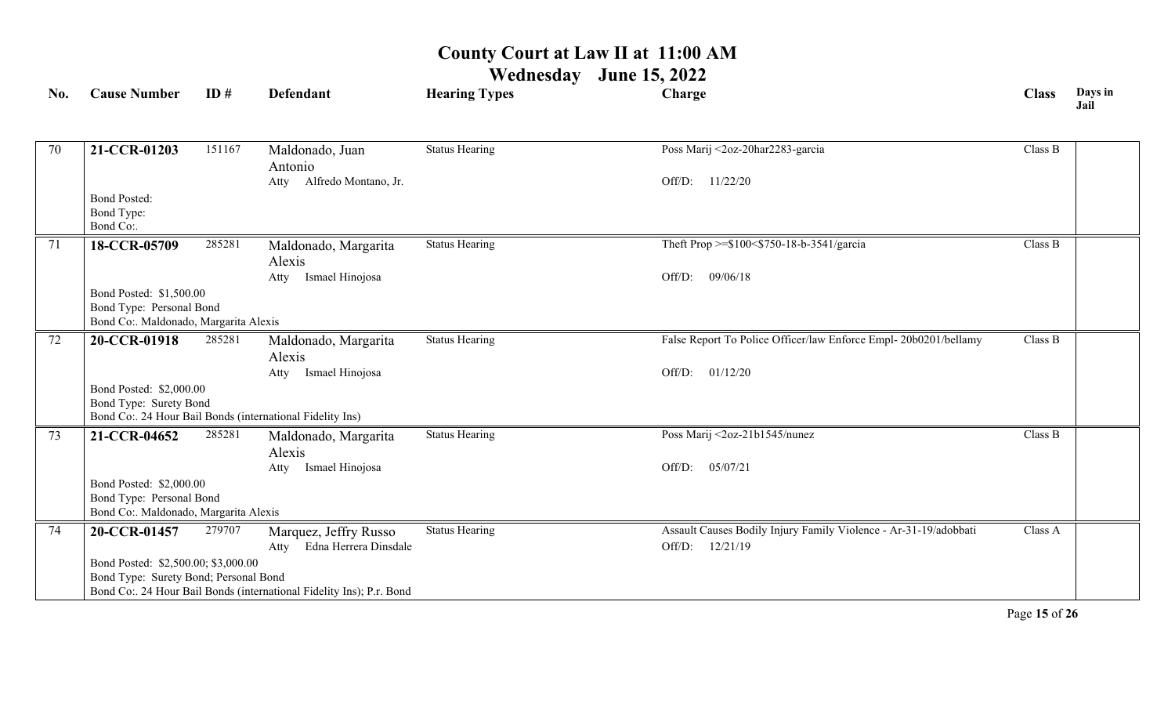| No. | <b>Cause Number</b>                                                          | ID#    | Defendant                                                            | <b>Hearing Types</b>  | Charge                                                           | <b>Class</b> | Days in<br>Jail |
|-----|------------------------------------------------------------------------------|--------|----------------------------------------------------------------------|-----------------------|------------------------------------------------------------------|--------------|-----------------|
|     |                                                                              |        |                                                                      |                       |                                                                  |              |                 |
| 70  | 21-CCR-01203                                                                 | 151167 | Maldonado, Juan                                                      | <b>Status Hearing</b> | Poss Marij <2oz-20har2283-garcia                                 | Class B      |                 |
|     |                                                                              |        | Antonio<br>Alfredo Montano, Jr.<br>Atty                              |                       | 11/22/20<br>Off/D:                                               |              |                 |
|     | <b>Bond Posted:</b>                                                          |        |                                                                      |                       |                                                                  |              |                 |
|     | Bond Type:<br>Bond Co:.                                                      |        |                                                                      |                       |                                                                  |              |                 |
| 71  | 18-CCR-05709                                                                 | 285281 | Maldonado, Margarita                                                 | <b>Status Hearing</b> | Theft Prop >=\$100<\$750-18-b-3541/garcia                        | Class B      |                 |
|     |                                                                              |        | Alexis                                                               |                       |                                                                  |              |                 |
|     |                                                                              |        | Atty Ismael Hinojosa                                                 |                       | 09/06/18<br>Off/D:                                               |              |                 |
|     | Bond Posted: \$1,500.00                                                      |        |                                                                      |                       |                                                                  |              |                 |
|     | Bond Type: Personal Bond<br>Bond Co:. Maldonado, Margarita Alexis            |        |                                                                      |                       |                                                                  |              |                 |
| 72  | 20-CCR-01918                                                                 | 285281 | Maldonado, Margarita                                                 | <b>Status Hearing</b> | False Report To Police Officer/law Enforce Empl-20b0201/bellamy  | Class B      |                 |
|     |                                                                              |        | Alexis                                                               |                       |                                                                  |              |                 |
|     |                                                                              |        | Ismael Hinojosa<br>Atty                                              |                       | 01/12/20<br>Off/D:                                               |              |                 |
|     | Bond Posted: \$2,000.00                                                      |        |                                                                      |                       |                                                                  |              |                 |
|     | Bond Type: Surety Bond                                                       |        | Bond Co:. 24 Hour Bail Bonds (international Fidelity Ins)            |                       |                                                                  |              |                 |
| 73  | 21-CCR-04652                                                                 | 285281 | Maldonado, Margarita                                                 | <b>Status Hearing</b> | Poss Marij <2oz-21b1545/nunez                                    | Class B      |                 |
|     |                                                                              |        | Alexis                                                               |                       |                                                                  |              |                 |
|     |                                                                              |        | Ismael Hinojosa<br>Atty                                              |                       | 05/07/21<br>Off/D:                                               |              |                 |
|     | Bond Posted: \$2,000.00                                                      |        |                                                                      |                       |                                                                  |              |                 |
|     | Bond Type: Personal Bond                                                     |        |                                                                      |                       |                                                                  |              |                 |
|     | Bond Co:. Maldonado, Margarita Alexis                                        |        |                                                                      |                       |                                                                  |              |                 |
| 74  | 20-CCR-01457                                                                 | 279707 | Marquez, Jeffry Russo                                                | <b>Status Hearing</b> | Assault Causes Bodily Injury Family Violence - Ar-31-19/adobbati | Class A      |                 |
|     |                                                                              |        | Edna Herrera Dinsdale<br>Atty                                        |                       | 12/21/19<br>Off/D:                                               |              |                 |
|     | Bond Posted: \$2,500.00; \$3,000.00<br>Bond Type: Surety Bond; Personal Bond |        |                                                                      |                       |                                                                  |              |                 |
|     |                                                                              |        | Bond Co:. 24 Hour Bail Bonds (international Fidelity Ins); P.r. Bond |                       |                                                                  |              |                 |
|     |                                                                              |        |                                                                      |                       |                                                                  |              |                 |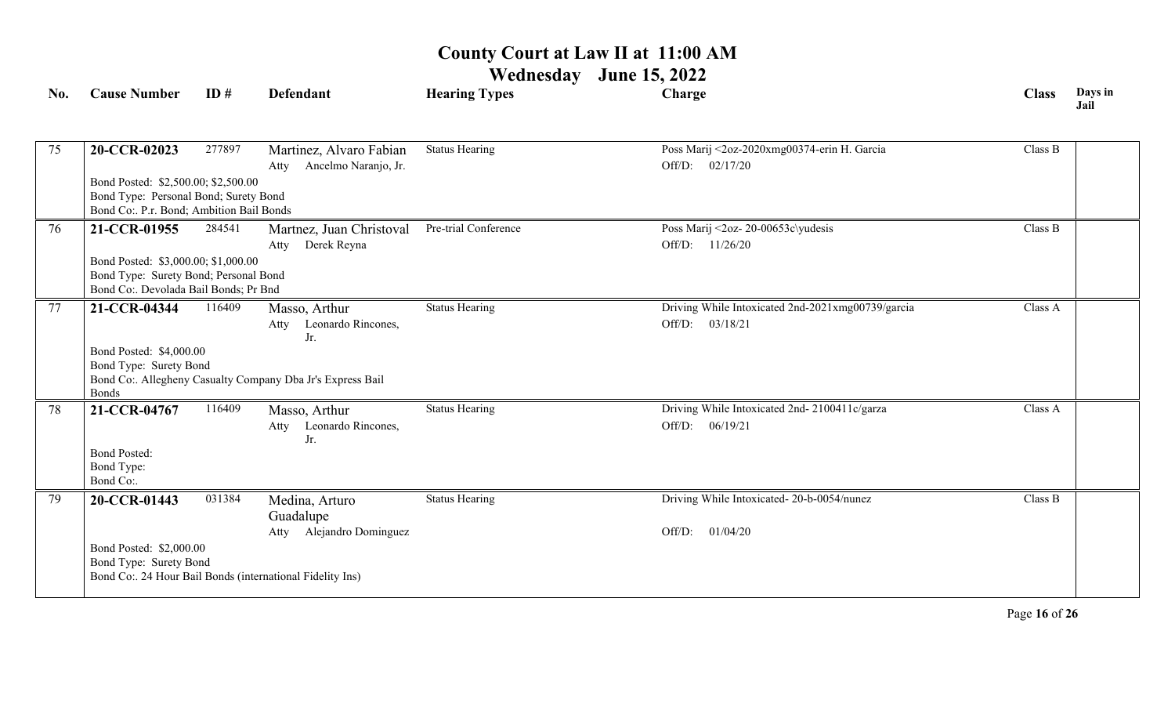# **Wednesday June 15, 2022**

| No. | <b>Cause Number</b>                                                            | ID#    | <b>Defendant</b>                                           | <b>Hearing Types</b>  | Charge                                            | <b>Class</b> | Days in<br>Jail |
|-----|--------------------------------------------------------------------------------|--------|------------------------------------------------------------|-----------------------|---------------------------------------------------|--------------|-----------------|
|     |                                                                                |        |                                                            |                       |                                                   |              |                 |
| 75  | 20-CCR-02023                                                                   | 277897 | Martinez, Alvaro Fabian                                    | <b>Status Hearing</b> | Poss Marij <2oz-2020xmg00374-erin H. Garcia       | Class B      |                 |
|     |                                                                                |        | Ancelmo Naranjo, Jr.<br>Atty                               |                       | Off/D: $02/17/20$                                 |              |                 |
|     | Bond Posted: \$2,500.00; \$2,500.00                                            |        |                                                            |                       |                                                   |              |                 |
|     | Bond Type: Personal Bond; Surety Bond                                          |        |                                                            |                       |                                                   |              |                 |
|     | Bond Co: P.r. Bond; Ambition Bail Bonds                                        |        |                                                            |                       |                                                   |              |                 |
| 76  | 21-CCR-01955                                                                   | 284541 | Martnez, Juan Christoval                                   | Pre-trial Conference  | Poss Marij <2oz- 20-00653c\yudesis                | Class B      |                 |
|     |                                                                                |        | Derek Reyna<br>Atty                                        |                       | Off/D: 11/26/20                                   |              |                 |
|     | Bond Posted: \$3,000.00; \$1,000.00                                            |        |                                                            |                       |                                                   |              |                 |
|     | Bond Type: Surety Bond; Personal Bond<br>Bond Co:. Devolada Bail Bonds; Pr Bnd |        |                                                            |                       |                                                   |              |                 |
|     |                                                                                |        |                                                            |                       |                                                   |              |                 |
| 77  | 21-CCR-04344                                                                   | 116409 | Masso, Arthur                                              | <b>Status Hearing</b> | Driving While Intoxicated 2nd-2021xmg00739/garcia | Class A      |                 |
|     |                                                                                |        | Leonardo Rincones,<br>Atty<br>Jr.                          |                       | Off/D: 03/18/21                                   |              |                 |
|     | Bond Posted: \$4,000.00                                                        |        |                                                            |                       |                                                   |              |                 |
|     | Bond Type: Surety Bond                                                         |        |                                                            |                       |                                                   |              |                 |
|     |                                                                                |        | Bond Co:. Allegheny Casualty Company Dba Jr's Express Bail |                       |                                                   |              |                 |
|     | <b>Bonds</b>                                                                   |        |                                                            |                       |                                                   |              |                 |
| 78  | 21-CCR-04767                                                                   | 116409 | Masso, Arthur                                              | <b>Status Hearing</b> | Driving While Intoxicated 2nd-2100411c/garza      | Class A      |                 |
|     |                                                                                |        | Leonardo Rincones,<br>Atty                                 |                       | Off/D: 06/19/21                                   |              |                 |
|     | <b>Bond Posted:</b>                                                            |        | Jr.                                                        |                       |                                                   |              |                 |
|     | Bond Type:                                                                     |        |                                                            |                       |                                                   |              |                 |
|     | Bond Co:.                                                                      |        |                                                            |                       |                                                   |              |                 |
| 79  | 20-CCR-01443                                                                   | 031384 | Medina, Arturo                                             | <b>Status Hearing</b> | Driving While Intoxicated-20-b-0054/nunez         | Class B      |                 |
|     |                                                                                |        | Guadalupe                                                  |                       |                                                   |              |                 |
|     |                                                                                |        | Atty Alejandro Dominguez                                   |                       | Off/D: $01/04/20$                                 |              |                 |
|     | Bond Posted: \$2,000.00                                                        |        |                                                            |                       |                                                   |              |                 |
|     | Bond Type: Surety Bond                                                         |        |                                                            |                       |                                                   |              |                 |
|     |                                                                                |        | Bond Co:. 24 Hour Bail Bonds (international Fidelity Ins)  |                       |                                                   |              |                 |
|     |                                                                                |        |                                                            |                       |                                                   |              |                 |

Page **16** of **26**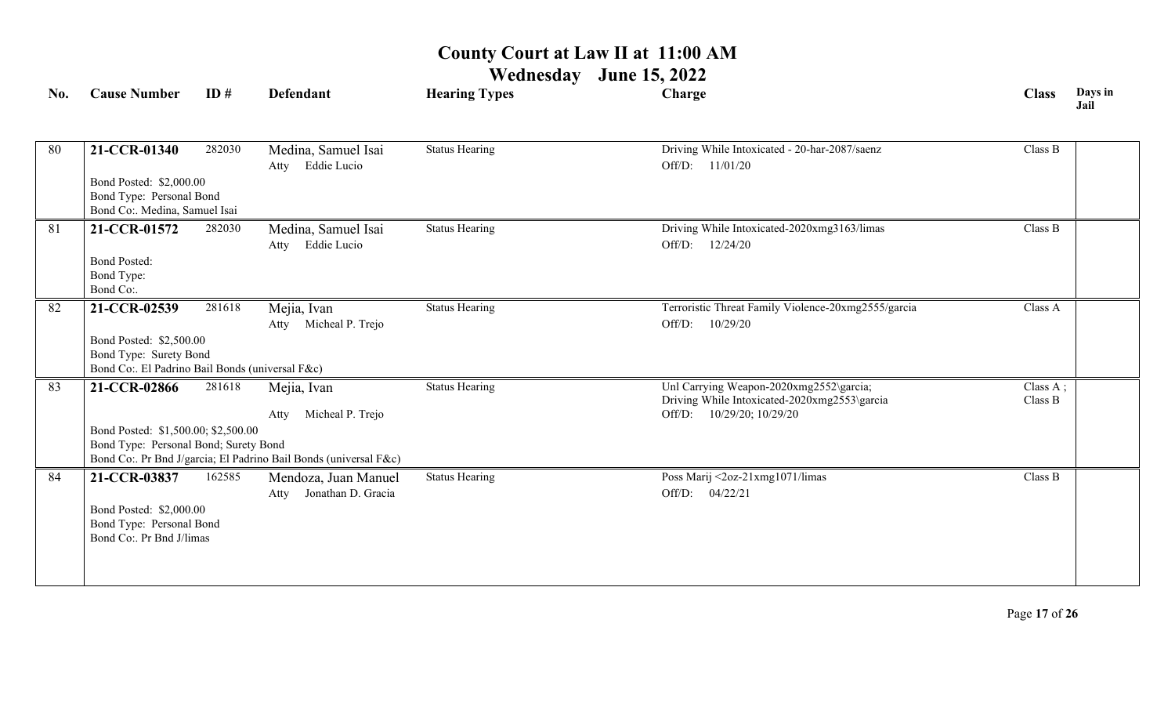| No. | <b>Cause Number</b>                             | ID#    | <b>Defendant</b>                                                 | <b>Hearing Types</b>  | Charge                                                                    | <b>Class</b> | Days in<br>Jail |
|-----|-------------------------------------------------|--------|------------------------------------------------------------------|-----------------------|---------------------------------------------------------------------------|--------------|-----------------|
|     |                                                 |        |                                                                  |                       |                                                                           |              |                 |
| 80  | 21-CCR-01340                                    | 282030 | Medina, Samuel Isai                                              | <b>Status Hearing</b> | Driving While Intoxicated - 20-har-2087/saenz                             | Class B      |                 |
|     |                                                 |        | Eddie Lucio<br>Atty                                              |                       | Off/D: 11/01/20                                                           |              |                 |
|     | Bond Posted: \$2,000.00                         |        |                                                                  |                       |                                                                           |              |                 |
|     | Bond Type: Personal Bond                        |        |                                                                  |                       |                                                                           |              |                 |
|     | Bond Co:. Medina, Samuel Isai                   |        |                                                                  |                       |                                                                           |              |                 |
| 81  | 21-CCR-01572                                    | 282030 | Medina, Samuel Isai                                              | <b>Status Hearing</b> | Driving While Intoxicated-2020xmg3163/limas                               | Class B      |                 |
|     |                                                 |        | Eddie Lucio<br>Atty                                              |                       | Off/D: 12/24/20                                                           |              |                 |
|     | <b>Bond Posted:</b><br>Bond Type:               |        |                                                                  |                       |                                                                           |              |                 |
|     | Bond Co:.                                       |        |                                                                  |                       |                                                                           |              |                 |
| 82  | 21-CCR-02539                                    | 281618 | Mejia, Ivan                                                      | <b>Status Hearing</b> | Terroristic Threat Family Violence-20xmg2555/garcia                       | Class A      |                 |
|     |                                                 |        | Atty Micheal P. Trejo                                            |                       | Off/D:<br>10/29/20                                                        |              |                 |
|     | Bond Posted: \$2,500.00                         |        |                                                                  |                       |                                                                           |              |                 |
|     | Bond Type: Surety Bond                          |        |                                                                  |                       |                                                                           |              |                 |
|     | Bond Co:. El Padrino Bail Bonds (universal F&c) |        |                                                                  |                       |                                                                           |              |                 |
| 83  | 21-CCR-02866                                    | 281618 | Mejia, Ivan                                                      | <b>Status Hearing</b> | Unl Carrying Weapon-2020xmg2552\garcia;                                   | Class A;     |                 |
|     |                                                 |        | Micheal P. Trejo                                                 |                       | Driving While Intoxicated-2020xmg2553\garcia<br>Off/D: 10/29/20; 10/29/20 | Class B      |                 |
|     | Bond Posted: \$1,500.00; \$2,500.00             |        | Atty                                                             |                       |                                                                           |              |                 |
|     | Bond Type: Personal Bond; Surety Bond           |        |                                                                  |                       |                                                                           |              |                 |
|     |                                                 |        | Bond Co:. Pr Bnd J/garcia; El Padrino Bail Bonds (universal F&c) |                       |                                                                           |              |                 |
| 84  | 21-CCR-03837                                    | 162585 | Mendoza, Juan Manuel                                             | <b>Status Hearing</b> | Poss Marij <2oz-21xmg1071/limas                                           | Class B      |                 |
|     |                                                 |        | Atty Jonathan D. Gracia                                          |                       | Off/D: 04/22/21                                                           |              |                 |
|     | Bond Posted: \$2,000.00                         |        |                                                                  |                       |                                                                           |              |                 |
|     | Bond Type: Personal Bond                        |        |                                                                  |                       |                                                                           |              |                 |
|     | Bond Co:. Pr Bnd J/limas                        |        |                                                                  |                       |                                                                           |              |                 |
|     |                                                 |        |                                                                  |                       |                                                                           |              |                 |
|     |                                                 |        |                                                                  |                       |                                                                           |              |                 |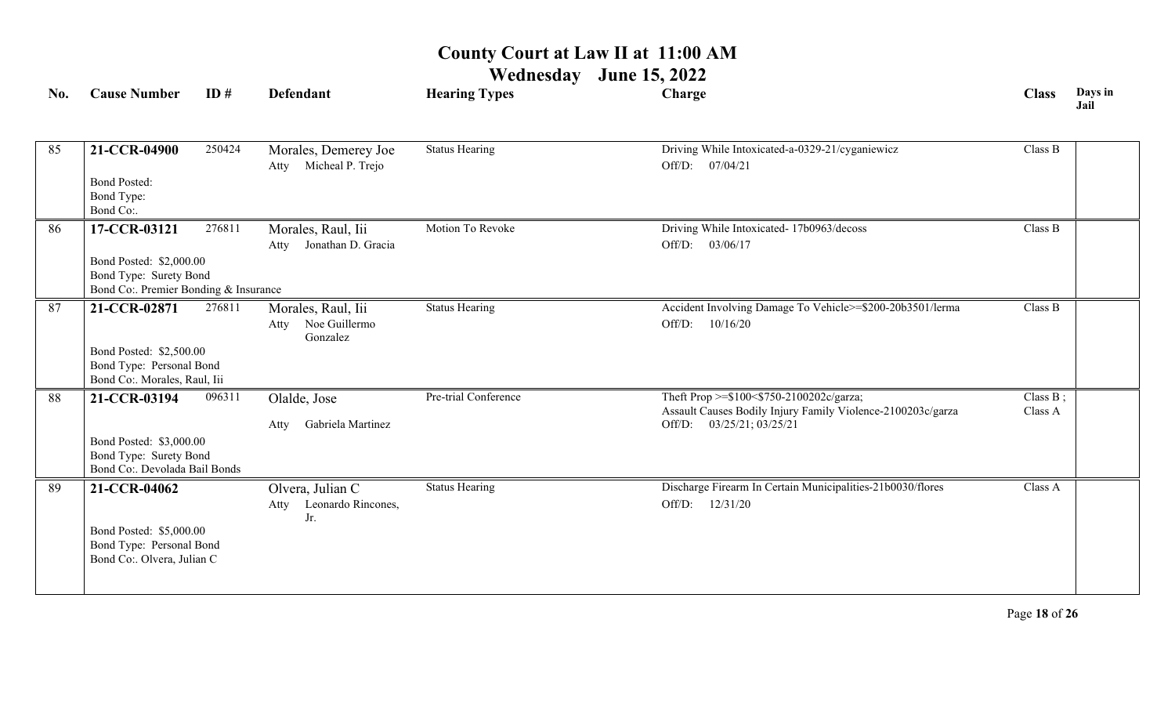| No. | <b>Cause Number</b>                                                                                        | ID#    | <b>Defendant</b>                                        | <b>Hearing Types</b>  | Charge                                                                                                                                  | <b>Class</b>           | Days in<br>Jail |
|-----|------------------------------------------------------------------------------------------------------------|--------|---------------------------------------------------------|-----------------------|-----------------------------------------------------------------------------------------------------------------------------------------|------------------------|-----------------|
| 85  | 21-CCR-04900<br><b>Bond Posted:</b><br>Bond Type:<br>Bond Co:.                                             | 250424 | Morales, Demerey Joe<br>Micheal P. Trejo<br>Atty        | <b>Status Hearing</b> | Driving While Intoxicated-a-0329-21/cyganiewicz<br>07/04/21<br>Off/D:                                                                   | Class B                |                 |
| 86  | 17-CCR-03121<br>Bond Posted: \$2,000.00<br>Bond Type: Surety Bond<br>Bond Co:. Premier Bonding & Insurance | 276811 | Morales, Raul, Iii<br>Jonathan D. Gracia<br>Atty        | Motion To Revoke      | Driving While Intoxicated- 17b0963/decoss<br>Off/D: 03/06/17                                                                            | Class B                |                 |
| 87  | 21-CCR-02871<br>Bond Posted: \$2,500.00<br>Bond Type: Personal Bond<br>Bond Co:. Morales, Raul, Iii        | 276811 | Morales, Raul, Iii<br>Noe Guillermo<br>Atty<br>Gonzalez | <b>Status Hearing</b> | Accident Involving Damage To Vehicle>=\$200-20b3501/lerma<br>Off/D:<br>10/16/20                                                         | Class B                |                 |
| 88  | 21-CCR-03194<br>Bond Posted: \$3,000.00<br>Bond Type: Surety Bond<br>Bond Co:. Devolada Bail Bonds         | 096311 | Olalde, Jose<br>Gabriela Martinez<br>Atty               | Pre-trial Conference  | Theft Prop >=\$100<\$750-2100202c/garza;<br>Assault Causes Bodily Injury Family Violence-2100203c/garza<br>03/25/21; 03/25/21<br>Off/D: | Class $B$ ;<br>Class A |                 |
| 89  | 21-CCR-04062<br>Bond Posted: \$5,000.00<br>Bond Type: Personal Bond<br>Bond Co:. Olvera, Julian C          |        | Olvera, Julian C<br>Leonardo Rincones,<br>Atty<br>Jr.   | <b>Status Hearing</b> | Discharge Firearm In Certain Municipalities-21b0030/flores<br>Off/D:<br>12/31/20                                                        | Class A                |                 |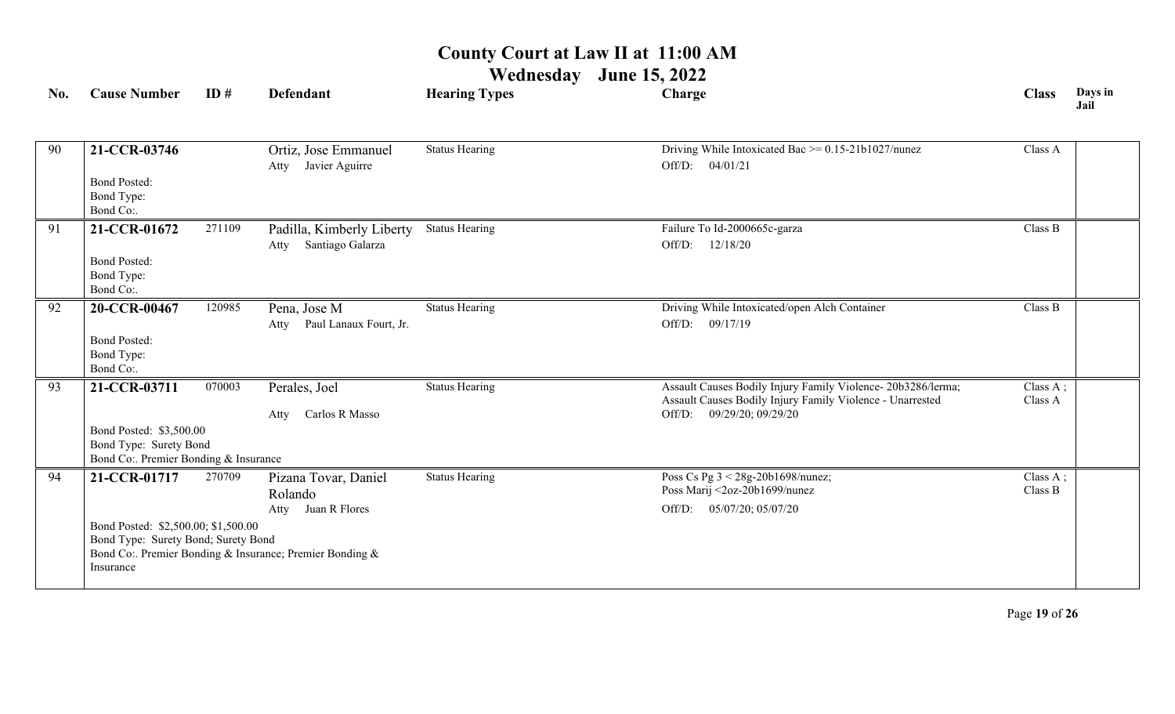| No. | <b>Cause Number</b>                                                                                        | ID#    | <b>Defendant</b>                                                                                                 | <b>Hearing Types</b>  | Charge                                                                                                                                                    | <b>Class</b>        | Days in<br>Jail |
|-----|------------------------------------------------------------------------------------------------------------|--------|------------------------------------------------------------------------------------------------------------------|-----------------------|-----------------------------------------------------------------------------------------------------------------------------------------------------------|---------------------|-----------------|
| 90  | 21-CCR-03746<br><b>Bond Posted:</b><br>Bond Type:<br>Bond Co:.                                             |        | Ortiz, Jose Emmanuel<br>Javier Aguirre<br>Atty                                                                   | <b>Status Hearing</b> | Driving While Intoxicated Bac $\ge$ = 0.15-21b1027/nunez<br>Off/D:<br>04/01/21                                                                            | Class A             |                 |
| 91  | 21-CCR-01672<br><b>Bond Posted:</b><br>Bond Type:<br>Bond Co:.                                             | 271109 | Padilla, Kimberly Liberty<br>Santiago Galarza<br>Atty                                                            | <b>Status Hearing</b> | Failure To Id-2000665c-garza<br>12/18/20<br>Off/D:                                                                                                        | Class B             |                 |
| 92  | 20-CCR-00467<br><b>Bond Posted:</b><br>Bond Type:<br>Bond Co:.                                             | 120985 | Pena, Jose M<br>Paul Lanaux Fourt, Jr.<br>Atty                                                                   | <b>Status Hearing</b> | Driving While Intoxicated/open Alch Container<br>Off/D: 09/17/19                                                                                          | Class B             |                 |
| 93  | 21-CCR-03711<br>Bond Posted: \$3,500.00<br>Bond Type: Surety Bond<br>Bond Co:. Premier Bonding & Insurance | 070003 | Perales, Joel<br>Carlos R Masso<br>Atty                                                                          | <b>Status Hearing</b> | Assault Causes Bodily Injury Family Violence- 20b3286/lerma;<br>Assault Causes Bodily Injury Family Violence - Unarrested<br>09/29/20; 09/29/20<br>Off/D: | Class A;<br>Class A |                 |
| 94  | 21-CCR-01717<br>Bond Posted: \$2,500.00; \$1,500.00<br>Bond Type: Surety Bond; Surety Bond<br>Insurance    | 270709 | Pizana Tovar, Daniel<br>Rolando<br>Atty Juan R Flores<br>Bond Co: Premier Bonding & Insurance; Premier Bonding & | <b>Status Hearing</b> | Poss Cs Pg 3 < 28g-20b1698/nunez;<br>Poss Marij <2oz-20b1699/nunez<br>Off/D: 05/07/20; 05/07/20                                                           | Class A;<br>Class B |                 |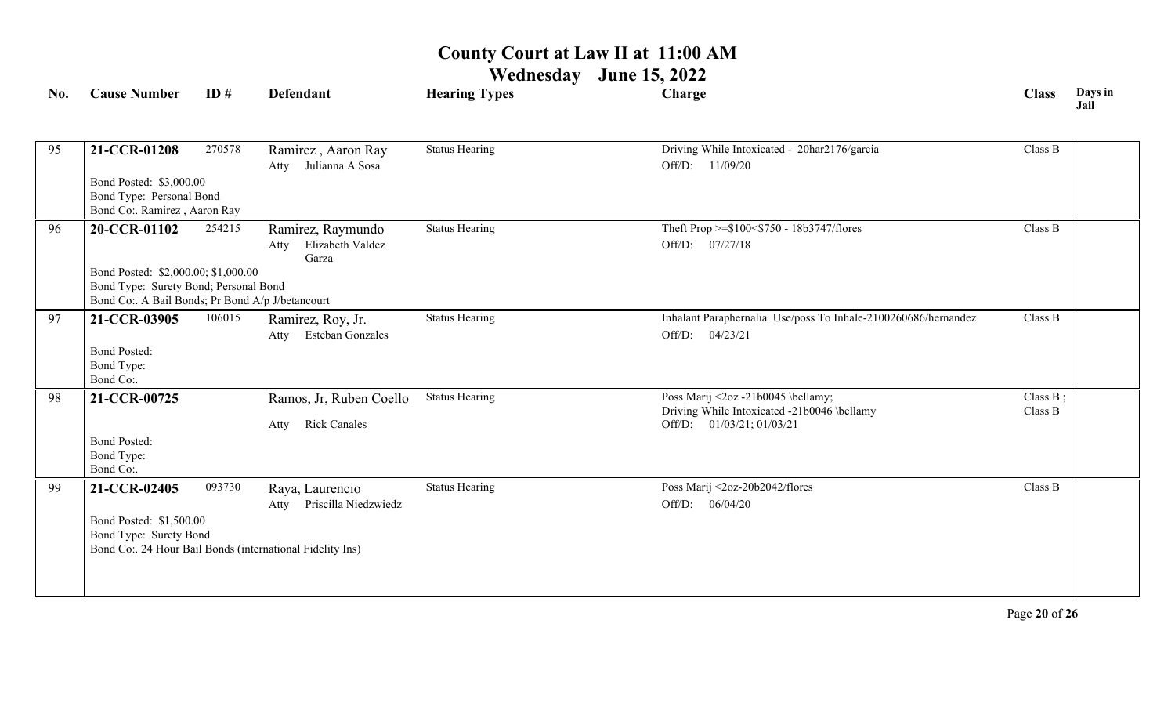| No. | <b>Cause Number</b>                                                                                                                              | ID#    | <b>Defendant</b>                                                                                             | <b>Hearing Types</b>  | Charge                                                                                                         | <b>Class</b>           | Days in<br>Jail |
|-----|--------------------------------------------------------------------------------------------------------------------------------------------------|--------|--------------------------------------------------------------------------------------------------------------|-----------------------|----------------------------------------------------------------------------------------------------------------|------------------------|-----------------|
| 95  | 21-CCR-01208<br>Bond Posted: \$3,000.00<br>Bond Type: Personal Bond<br>Bond Co:. Ramirez, Aaron Ray                                              | 270578 | Ramirez, Aaron Ray<br>Julianna A Sosa<br>Atty                                                                | <b>Status Hearing</b> | Driving While Intoxicated - 20har2176/garcia<br>Off/D: 11/09/20                                                | Class B                |                 |
| 96  | 20-CCR-01102<br>Bond Posted: \$2,000.00; \$1,000.00<br>Bond Type: Surety Bond; Personal Bond<br>Bond Co:. A Bail Bonds; Pr Bond A/p J/betancourt | 254215 | Ramirez, Raymundo<br>Elizabeth Valdez<br>Atty<br>Garza                                                       | <b>Status Hearing</b> | Theft Prop >=\$100<\$750 - 18b3747/flores<br>Off/D: 07/27/18                                                   | Class B                |                 |
| 97  | 21-CCR-03905<br><b>Bond Posted:</b><br>Bond Type:<br>Bond Co:.                                                                                   | 106015 | Ramirez, Roy, Jr.<br>Esteban Gonzales<br>Atty                                                                | <b>Status Hearing</b> | Inhalant Paraphernalia Use/poss To Inhale-2100260686/hernandez<br>Off/D:<br>04/23/21                           | Class B                |                 |
| 98  | 21-CCR-00725<br><b>Bond Posted:</b><br>Bond Type:<br>Bond Co:.                                                                                   |        | Ramos, Jr, Ruben Coello<br><b>Rick Canales</b><br>Atty                                                       | <b>Status Hearing</b> | Poss Marij <2oz -21b0045 \bellamy;<br>Driving While Intoxicated -21b0046 \bellamy<br>Off/D: 01/03/21; 01/03/21 | Class $B$ ;<br>Class B |                 |
| 99  | 21-CCR-02405<br>Bond Posted: \$1,500.00<br>Bond Type: Surety Bond                                                                                | 093730 | Raya, Laurencio<br>Priscilla Niedzwiedz<br>Atty<br>Bond Co:. 24 Hour Bail Bonds (international Fidelity Ins) | <b>Status Hearing</b> | Poss Marij <2oz-20b2042/flores<br>Off/D: 06/04/20                                                              | Class B                |                 |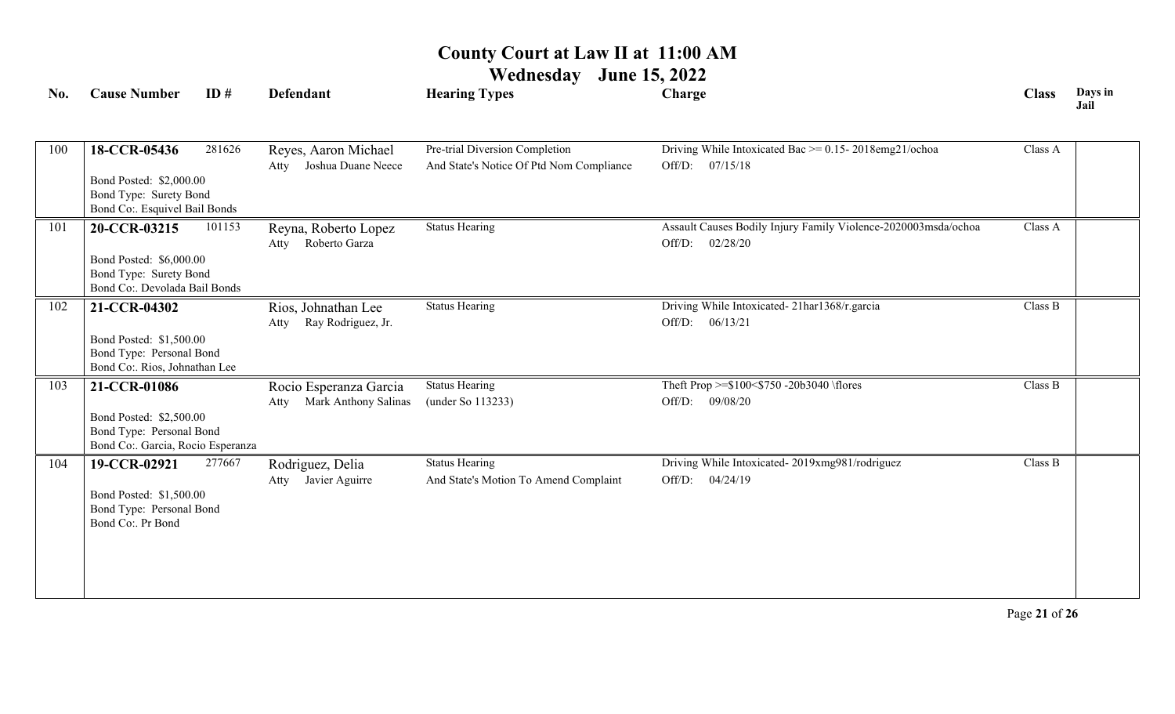| No. | <b>Cause Number</b>                                                                                      | ID#    | <b>Defendant</b>                                    | <b>Hearing Types</b>                                                       | Charge                                                                               | <b>Class</b> | Days in<br>Jail |
|-----|----------------------------------------------------------------------------------------------------------|--------|-----------------------------------------------------|----------------------------------------------------------------------------|--------------------------------------------------------------------------------------|--------------|-----------------|
| 100 | 18-CCR-05436<br>Bond Posted: \$2,000.00<br>Bond Type: Surety Bond<br>Bond Co:. Esquivel Bail Bonds       | 281626 | Reyes, Aaron Michael<br>Joshua Duane Neece<br>Atty  | Pre-trial Diversion Completion<br>And State's Notice Of Ptd Nom Compliance | Driving While Intoxicated Bac $\ge$ = 0.15-2018emg21/ochoa<br>Off/D: 07/15/18        | Class A      |                 |
| 101 | 20-CCR-03215<br>Bond Posted: \$6,000.00<br>Bond Type: Surety Bond<br>Bond Co:. Devolada Bail Bonds       | 101153 | Reyna, Roberto Lopez<br>Roberto Garza<br>Atty       | <b>Status Hearing</b>                                                      | Assault Causes Bodily Injury Family Violence-2020003msda/ochoa<br>02/28/20<br>Off/D: | Class A      |                 |
| 102 | 21-CCR-04302<br>Bond Posted: \$1,500.00<br>Bond Type: Personal Bond<br>Bond Co:. Rios, Johnathan Lee     |        | Rios, Johnathan Lee<br>Ray Rodriguez, Jr.<br>Atty   | <b>Status Hearing</b>                                                      | Driving While Intoxicated-21har1368/r.garcia<br>Off/D: 06/13/21                      | Class B      |                 |
| 103 | 21-CCR-01086<br>Bond Posted: \$2,500.00<br>Bond Type: Personal Bond<br>Bond Co:. Garcia, Rocio Esperanza |        | Rocio Esperanza Garcia<br>Atty Mark Anthony Salinas | <b>Status Hearing</b><br>(under So 113233)                                 | Theft Prop >=\$100<\$750 -20b3040 \flores<br>Off/D: 09/08/20                         | Class B      |                 |
| 104 | 19-CCR-02921<br>Bond Posted: \$1,500.00<br>Bond Type: Personal Bond<br>Bond Co:. Pr Bond                 | 277667 | Rodriguez, Delia<br>Javier Aguirre<br>Atty          | <b>Status Hearing</b><br>And State's Motion To Amend Complaint             | Driving While Intoxicated-2019xmg981/rodriguez<br>$Off/D$ :<br>04/24/19              | Class B      |                 |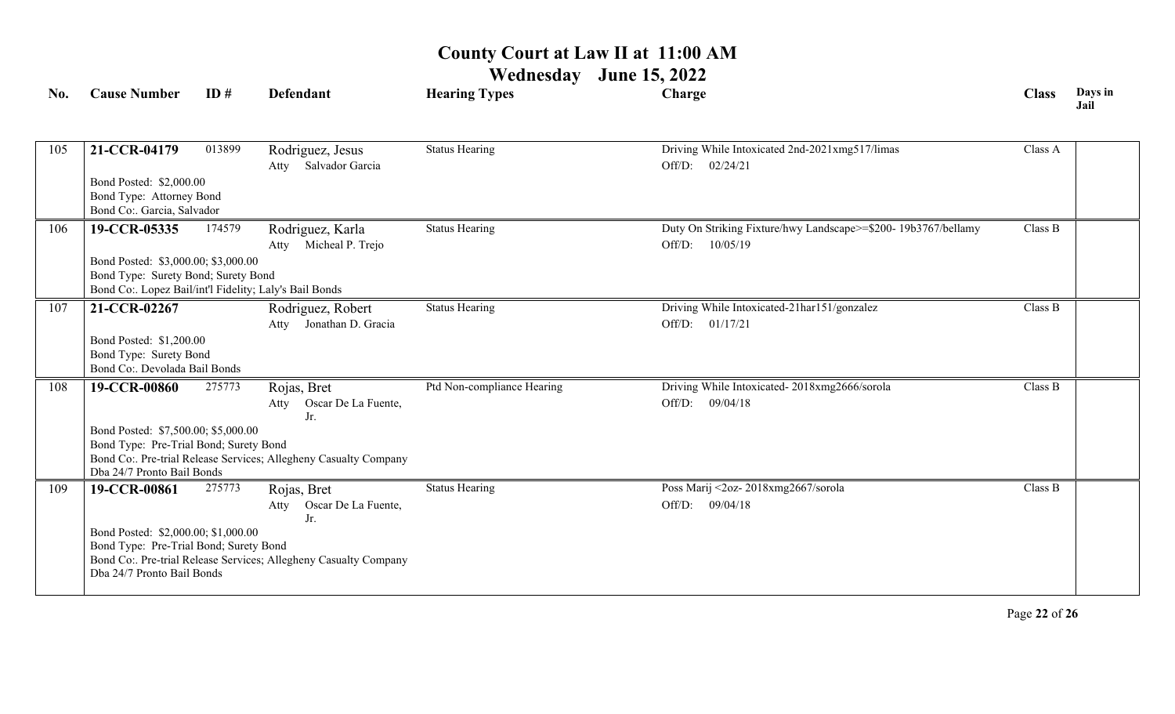| No. | <b>Cause Number</b>                                                                           | ID#    | <b>Defendant</b>                                                 | <b>Hearing Types</b>       | Charge                                                        | <b>Class</b> | Days in<br>Jail |
|-----|-----------------------------------------------------------------------------------------------|--------|------------------------------------------------------------------|----------------------------|---------------------------------------------------------------|--------------|-----------------|
|     |                                                                                               |        |                                                                  |                            |                                                               |              |                 |
| 105 | 21-CCR-04179                                                                                  | 013899 | Rodriguez, Jesus                                                 | <b>Status Hearing</b>      | Driving While Intoxicated 2nd-2021xmg517/limas                | Class A      |                 |
|     |                                                                                               |        | Salvador Garcia<br>Atty                                          |                            | Off/D: 02/24/21                                               |              |                 |
|     | Bond Posted: \$2,000.00                                                                       |        |                                                                  |                            |                                                               |              |                 |
|     | Bond Type: Attorney Bond                                                                      |        |                                                                  |                            |                                                               |              |                 |
|     | Bond Co:. Garcia, Salvador                                                                    |        |                                                                  |                            |                                                               |              |                 |
| 106 | 19-CCR-05335                                                                                  | 174579 | Rodriguez, Karla                                                 | <b>Status Hearing</b>      | Duty On Striking Fixture/hwy Landscape>=\$200-19b3767/bellamy | Class B      |                 |
|     |                                                                                               |        | Atty Micheal P. Trejo                                            |                            | Off/D: 10/05/19                                               |              |                 |
|     | Bond Posted: \$3,000.00; \$3,000.00                                                           |        |                                                                  |                            |                                                               |              |                 |
|     | Bond Type: Surety Bond; Surety Bond<br>Bond Co:. Lopez Bail/int'l Fidelity; Laly's Bail Bonds |        |                                                                  |                            |                                                               |              |                 |
|     |                                                                                               |        |                                                                  | <b>Status Hearing</b>      | Driving While Intoxicated-21har151/gonzalez                   | Class B      |                 |
| 107 | 21-CCR-02267                                                                                  |        | Rodriguez, Robert<br>Atty Jonathan D. Gracia                     |                            | Off/D: 01/17/21                                               |              |                 |
|     | Bond Posted: \$1,200.00                                                                       |        |                                                                  |                            |                                                               |              |                 |
|     | Bond Type: Surety Bond                                                                        |        |                                                                  |                            |                                                               |              |                 |
|     | Bond Co:. Devolada Bail Bonds                                                                 |        |                                                                  |                            |                                                               |              |                 |
| 108 | 19-CCR-00860                                                                                  | 275773 | Rojas, Bret                                                      | Ptd Non-compliance Hearing | Driving While Intoxicated-2018xmg2666/sorola                  | Class B      |                 |
|     |                                                                                               |        | Oscar De La Fuente,<br>Atty                                      |                            | Off/D: 09/04/18                                               |              |                 |
|     |                                                                                               |        | Jr.                                                              |                            |                                                               |              |                 |
|     | Bond Posted: \$7,500.00; \$5,000.00                                                           |        |                                                                  |                            |                                                               |              |                 |
|     | Bond Type: Pre-Trial Bond; Surety Bond                                                        |        | Bond Co:. Pre-trial Release Services; Allegheny Casualty Company |                            |                                                               |              |                 |
|     | Dba 24/7 Pronto Bail Bonds                                                                    |        |                                                                  |                            |                                                               |              |                 |
| 109 | 19-CCR-00861                                                                                  | 275773 | Rojas, Bret                                                      | <b>Status Hearing</b>      | Poss Marij <2oz-2018xmg2667/sorola                            | Class B      |                 |
|     |                                                                                               |        | Oscar De La Fuente,<br>Atty                                      |                            | Off/D: 09/04/18                                               |              |                 |
|     |                                                                                               |        | Jr.                                                              |                            |                                                               |              |                 |
|     | Bond Posted: \$2,000.00; \$1,000.00                                                           |        |                                                                  |                            |                                                               |              |                 |
|     | Bond Type: Pre-Trial Bond; Surety Bond                                                        |        | Bond Co:. Pre-trial Release Services; Allegheny Casualty Company |                            |                                                               |              |                 |
|     | Dba 24/7 Pronto Bail Bonds                                                                    |        |                                                                  |                            |                                                               |              |                 |
|     |                                                                                               |        |                                                                  |                            |                                                               |              |                 |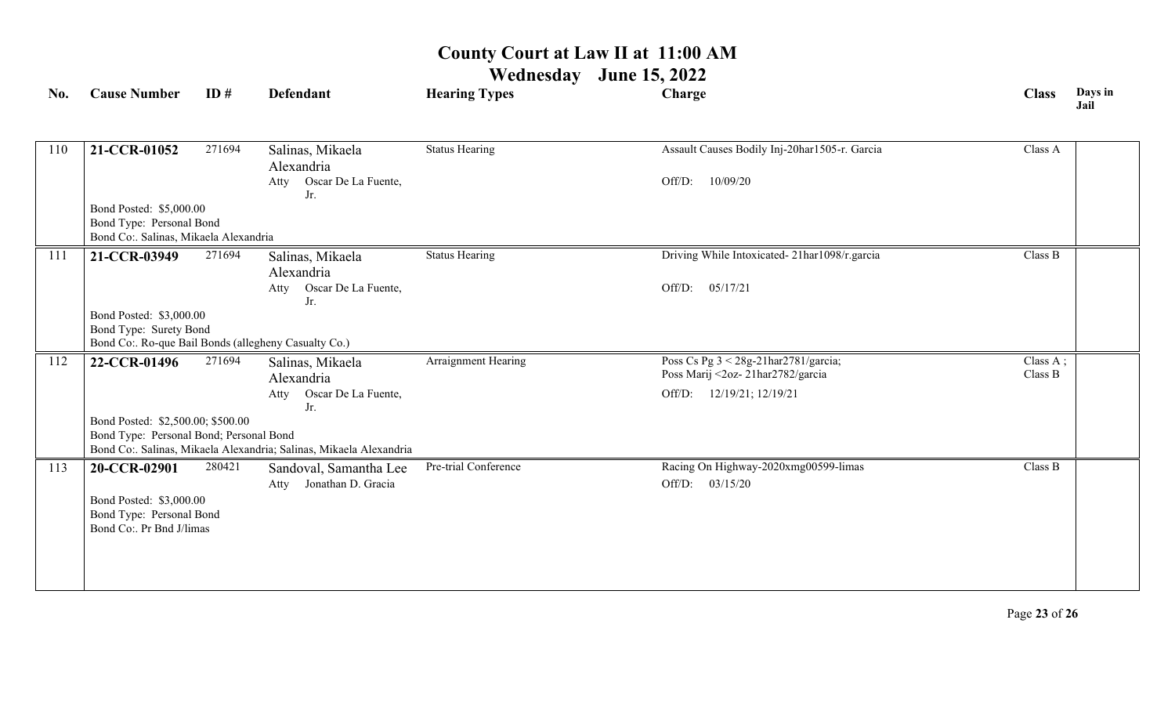| No. | <b>Cause Number</b>                                                                          | ID#    | <b>Defendant</b>                                                   | <b>Hearing Types</b>  | Charge                                                                   | <b>Class</b>        | Days in<br>Jail |
|-----|----------------------------------------------------------------------------------------------|--------|--------------------------------------------------------------------|-----------------------|--------------------------------------------------------------------------|---------------------|-----------------|
|     |                                                                                              |        |                                                                    |                       |                                                                          |                     |                 |
| 110 | 21-CCR-01052                                                                                 | 271694 | Salinas, Mikaela<br>Alexandria                                     | <b>Status Hearing</b> | Assault Causes Bodily Inj-20har1505-r. Garcia                            | Class A             |                 |
|     |                                                                                              |        | Oscar De La Fuente,<br>Atty<br>Jr.                                 |                       | 10/09/20<br>Off/D:                                                       |                     |                 |
|     | Bond Posted: \$5,000.00<br>Bond Type: Personal Bond<br>Bond Co:. Salinas, Mikaela Alexandria |        |                                                                    |                       |                                                                          |                     |                 |
| 111 | 21-CCR-03949                                                                                 | 271694 | Salinas, Mikaela<br>Alexandria                                     | <b>Status Hearing</b> | Driving While Intoxicated-21har1098/r.garcia                             | Class B             |                 |
|     |                                                                                              |        | Oscar De La Fuente,<br>Atty<br>Jr.                                 |                       | Off/D:<br>05/17/21                                                       |                     |                 |
|     | Bond Posted: \$3,000.00<br>Bond Type: Surety Bond                                            |        |                                                                    |                       |                                                                          |                     |                 |
|     | Bond Co:. Ro-que Bail Bonds (allegheny Casualty Co.)                                         |        |                                                                    |                       |                                                                          |                     |                 |
| 112 | 22-CCR-01496                                                                                 | 271694 | Salinas, Mikaela<br>Alexandria                                     | Arraignment Hearing   | Poss Cs Pg 3 < 28g-21har2781/garcia;<br>Poss Marij <2oz-21har2782/garcia | Class A;<br>Class B |                 |
|     |                                                                                              |        | Oscar De La Fuente,<br>Atty                                        |                       | Off/D:<br>12/19/21; 12/19/21                                             |                     |                 |
|     | Bond Posted: \$2,500.00; \$500.00                                                            |        | Jr.                                                                |                       |                                                                          |                     |                 |
|     | Bond Type: Personal Bond; Personal Bond                                                      |        |                                                                    |                       |                                                                          |                     |                 |
|     |                                                                                              |        | Bond Co:. Salinas, Mikaela Alexandria; Salinas, Mikaela Alexandria |                       |                                                                          |                     |                 |
| 113 | 20-CCR-02901                                                                                 | 280421 | Sandoval, Samantha Lee<br>Jonathan D. Gracia<br>Atty               | Pre-trial Conference  | Racing On Highway-2020xmg00599-limas<br>Off/D:<br>03/15/20               | Class B             |                 |
|     | Bond Posted: \$3,000.00<br>Bond Type: Personal Bond<br>Bond Co:. Pr Bnd J/limas              |        |                                                                    |                       |                                                                          |                     |                 |
|     |                                                                                              |        |                                                                    |                       |                                                                          |                     |                 |
|     |                                                                                              |        |                                                                    |                       |                                                                          |                     |                 |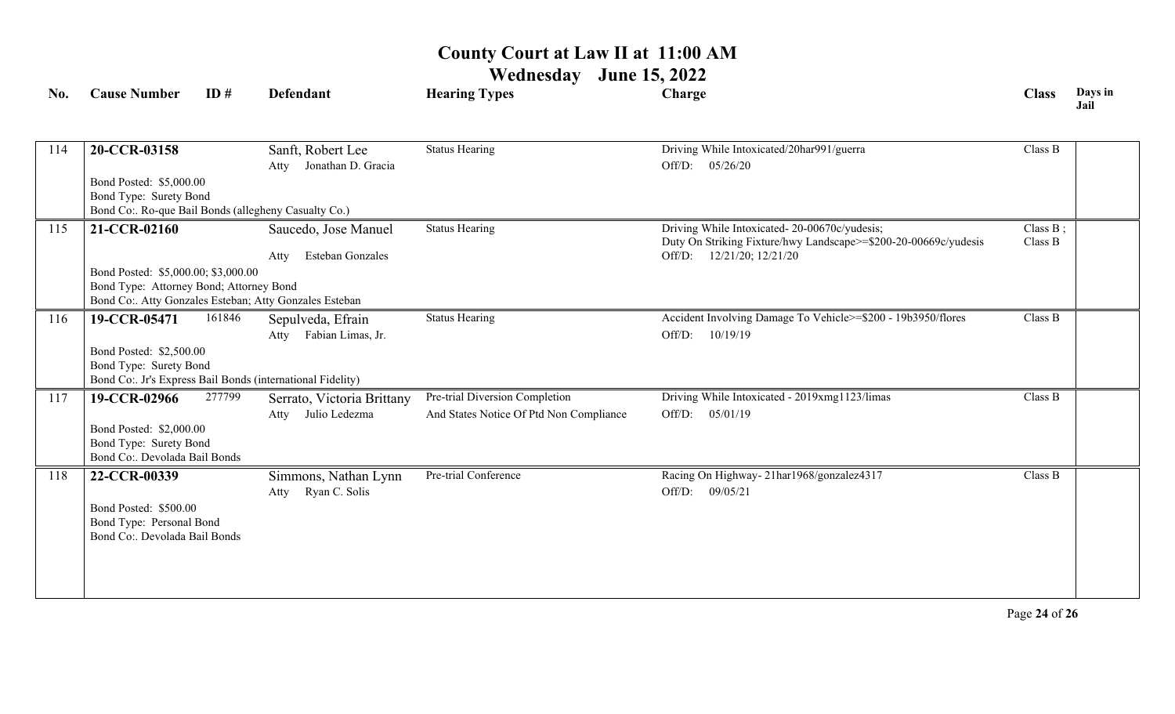| No. | <b>Cause Number</b>                                                            | ID#    | Defendant                  | <b>Hearing Types</b>                    | Charge                                                          | <b>Class</b> | Days in<br>Jail |
|-----|--------------------------------------------------------------------------------|--------|----------------------------|-----------------------------------------|-----------------------------------------------------------------|--------------|-----------------|
|     |                                                                                |        |                            |                                         |                                                                 |              |                 |
| 114 | 20-CCR-03158                                                                   |        | Sanft, Robert Lee          | <b>Status Hearing</b>                   | Driving While Intoxicated/20har991/guerra                       | Class B      |                 |
|     |                                                                                |        | Atty Jonathan D. Gracia    |                                         | Off/D: $05/26/20$                                               |              |                 |
|     | Bond Posted: \$5,000.00                                                        |        |                            |                                         |                                                                 |              |                 |
|     | Bond Type: Surety Bond                                                         |        |                            |                                         |                                                                 |              |                 |
|     | Bond Co:. Ro-que Bail Bonds (allegheny Casualty Co.)                           |        |                            |                                         |                                                                 |              |                 |
| 115 | 21-CCR-02160                                                                   |        | Saucedo, Jose Manuel       | <b>Status Hearing</b>                   | Driving While Intoxicated-20-00670c/yudesis;                    | Class $B$ ;  |                 |
|     |                                                                                |        |                            |                                         | Duty On Striking Fixture/hwy Landscape>=\$200-20-00669c/yudesis | Class B      |                 |
|     |                                                                                |        | Esteban Gonzales<br>Atty   |                                         | Off/D: 12/21/20; 12/21/20                                       |              |                 |
|     | Bond Posted: \$5,000.00; \$3,000.00<br>Bond Type: Attorney Bond; Attorney Bond |        |                            |                                         |                                                                 |              |                 |
|     | Bond Co:. Atty Gonzales Esteban; Atty Gonzales Esteban                         |        |                            |                                         |                                                                 |              |                 |
| 116 | 19-CCR-05471                                                                   | 161846 | Sepulveda, Efrain          | <b>Status Hearing</b>                   | Accident Involving Damage To Vehicle>=\$200 - 19b3950/flores    | Class B      |                 |
|     |                                                                                |        | Fabian Limas, Jr.<br>Atty  |                                         | Off/D:<br>10/19/19                                              |              |                 |
|     | Bond Posted: \$2,500.00                                                        |        |                            |                                         |                                                                 |              |                 |
|     | Bond Type: Surety Bond                                                         |        |                            |                                         |                                                                 |              |                 |
|     | Bond Co: Jr's Express Bail Bonds (international Fidelity)                      |        |                            |                                         |                                                                 |              |                 |
| 117 | 19-CCR-02966                                                                   | 277799 | Serrato, Victoria Brittany | Pre-trial Diversion Completion          | Driving While Intoxicated - 2019xmg1123/limas                   | Class B      |                 |
|     |                                                                                |        | Julio Ledezma<br>Atty      | And States Notice Of Ptd Non Compliance | Off/D:<br>05/01/19                                              |              |                 |
|     | Bond Posted: \$2,000.00                                                        |        |                            |                                         |                                                                 |              |                 |
|     | Bond Type: Surety Bond                                                         |        |                            |                                         |                                                                 |              |                 |
|     | Bond Co:. Devolada Bail Bonds                                                  |        |                            |                                         |                                                                 |              |                 |
| 118 | 22-CCR-00339                                                                   |        | Simmons, Nathan Lynn       | Pre-trial Conference                    | Racing On Highway-21har1968/gonzalez4317                        | Class B      |                 |
|     |                                                                                |        | Ryan C. Solis<br>Atty      |                                         | Off/D:<br>09/05/21                                              |              |                 |
|     | Bond Posted: \$500.00                                                          |        |                            |                                         |                                                                 |              |                 |
|     | Bond Type: Personal Bond                                                       |        |                            |                                         |                                                                 |              |                 |
|     | Bond Co:. Devolada Bail Bonds                                                  |        |                            |                                         |                                                                 |              |                 |
|     |                                                                                |        |                            |                                         |                                                                 |              |                 |
|     |                                                                                |        |                            |                                         |                                                                 |              |                 |
|     |                                                                                |        |                            |                                         |                                                                 |              |                 |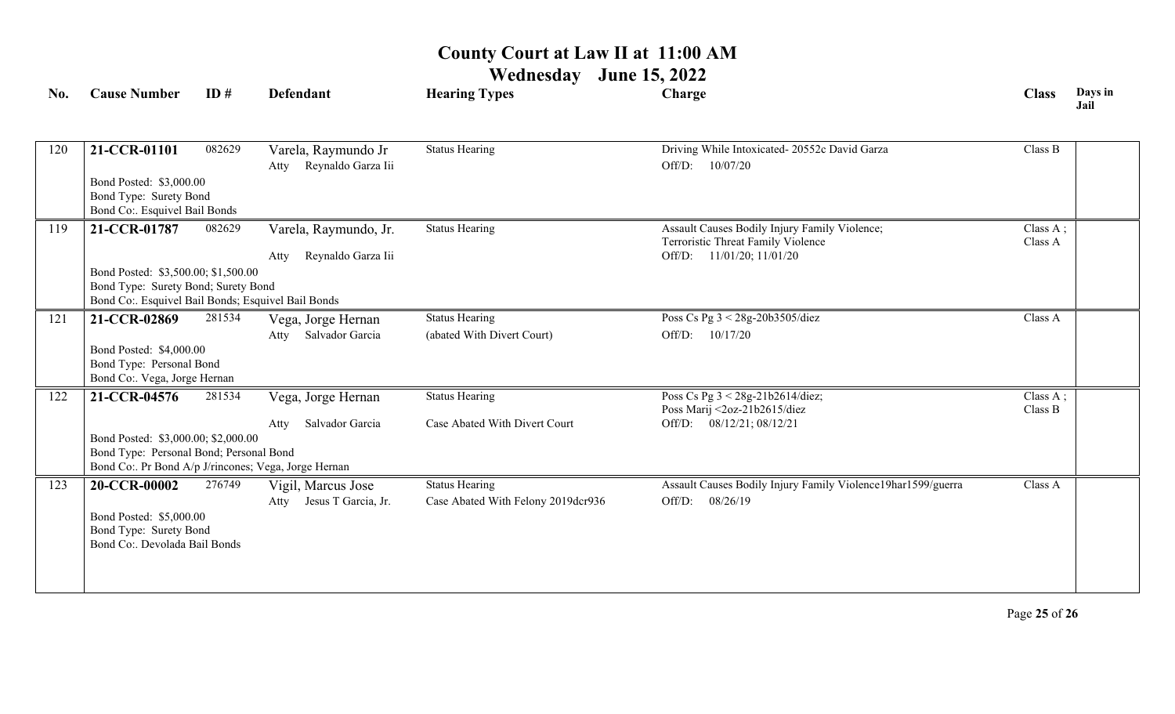**Wednesday June 15, 2022**

| No. | <b>Cause Number</b>                                                                             | ID#    | Defendant                                         | <b>Hearing Types</b>               | Charge                                                                              | <b>Class</b>        | Days in<br>Jail |  |  |
|-----|-------------------------------------------------------------------------------------------------|--------|---------------------------------------------------|------------------------------------|-------------------------------------------------------------------------------------|---------------------|-----------------|--|--|
| 120 | 21-CCR-01101                                                                                    | 082629 | Varela, Raymundo Jr<br>Reynaldo Garza Iii<br>Atty | <b>Status Hearing</b>              | Driving While Intoxicated-20552c David Garza<br>Off/D: 10/07/20                     | Class B             |                 |  |  |
|     | Bond Posted: \$3,000.00<br>Bond Type: Surety Bond<br>Bond Co:. Esquivel Bail Bonds              |        |                                                   |                                    |                                                                                     |                     |                 |  |  |
| 119 | 21-CCR-01787                                                                                    | 082629 | Varela, Raymundo, Jr.                             | <b>Status Hearing</b>              | Assault Causes Bodily Injury Family Violence;<br>Terroristic Threat Family Violence | Class A;<br>Class A |                 |  |  |
|     |                                                                                                 |        | Reynaldo Garza Iii<br>Atty                        |                                    | Off/D: 11/01/20; 11/01/20                                                           |                     |                 |  |  |
|     | Bond Posted: \$3,500.00; \$1,500.00                                                             |        |                                                   |                                    |                                                                                     |                     |                 |  |  |
|     | Bond Type: Surety Bond; Surety Bond<br>Bond Co:. Esquivel Bail Bonds; Esquivel Bail Bonds       |        |                                                   |                                    |                                                                                     |                     |                 |  |  |
| 121 | 21-CCR-02869                                                                                    | 281534 | Vega, Jorge Hernan                                | <b>Status Hearing</b>              | Poss Cs Pg 3 < 28g-20b3505/diez                                                     | Class A             |                 |  |  |
|     |                                                                                                 |        | Salvador Garcia<br>Atty                           | (abated With Divert Court)         | 10/17/20<br>Off/D:                                                                  |                     |                 |  |  |
|     | Bond Posted: \$4,000.00<br>Bond Type: Personal Bond                                             |        |                                                   |                                    |                                                                                     |                     |                 |  |  |
|     | Bond Co:. Vega, Jorge Hernan                                                                    |        |                                                   |                                    |                                                                                     |                     |                 |  |  |
| 122 | 21-CCR-04576                                                                                    | 281534 | Vega, Jorge Hernan                                | <b>Status Hearing</b>              | Poss Cs Pg 3 < 28g-21b2614/diez;<br>Poss Marij <2oz-21b2615/diez                    | Class A;<br>Class B |                 |  |  |
|     |                                                                                                 |        | Salvador Garcia<br>Atty                           | Case Abated With Divert Court      | Off/D: 08/12/21; 08/12/21                                                           |                     |                 |  |  |
|     | Bond Posted: \$3,000.00; \$2,000.00                                                             |        |                                                   |                                    |                                                                                     |                     |                 |  |  |
|     | Bond Type: Personal Bond; Personal Bond<br>Bond Co:. Pr Bond A/p J/rincones; Vega, Jorge Hernan |        |                                                   |                                    |                                                                                     |                     |                 |  |  |
| 123 | 20-CCR-00002                                                                                    | 276749 | Vigil, Marcus Jose                                | <b>Status Hearing</b>              | Assault Causes Bodily Injury Family Violence19har1599/guerra                        | Class A             |                 |  |  |
|     |                                                                                                 |        | Jesus T Garcia, Jr.<br>Atty                       | Case Abated With Felony 2019dcr936 | 08/26/19<br>Off/D:                                                                  |                     |                 |  |  |
|     | Bond Posted: \$5,000.00                                                                         |        |                                                   |                                    |                                                                                     |                     |                 |  |  |
|     | Bond Type: Surety Bond<br>Bond Co:. Devolada Bail Bonds                                         |        |                                                   |                                    |                                                                                     |                     |                 |  |  |
|     |                                                                                                 |        |                                                   |                                    |                                                                                     |                     |                 |  |  |
|     |                                                                                                 |        |                                                   |                                    |                                                                                     |                     |                 |  |  |
|     |                                                                                                 |        |                                                   |                                    |                                                                                     |                     |                 |  |  |